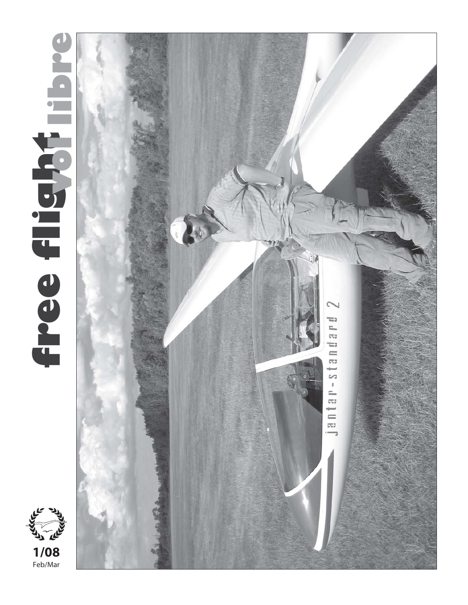



**1/08**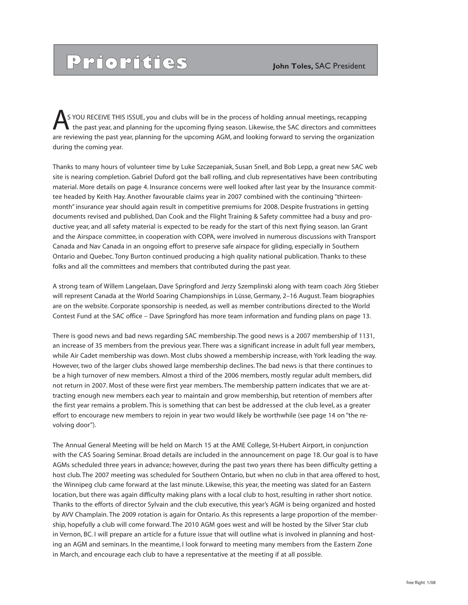## **Priorities** *John Toles, SAC President*

 S YOU RECEIVE THIS ISSUE, you and clubs will be in the process of holding annual meetings, recapping the past year, and planning for the upcoming flying season. Likewise, the SAC directors and committees are reviewing the past year, planning for the upcoming AGM, and looking forward to serving the organization during the coming year. A

Thanks to many hours of volunteer time by Luke Szczepaniak, Susan Snell, and Bob Lepp, a great new SAC web site is nearing completion. Gabriel Duford got the ball rolling, and club representatives have been contributing material. More details on page 4. Insurance concerns were well looked after last year by the Insurance committee headed by Keith Hay. Another favourable claims year in 2007 combined with the continuing "thirteenmonth" insurance year should again result in competitive premiums for 2008. Despite frustrations in getting documents revised and published, Dan Cook and the Flight Training & Safety committee had a busy and productive year, and all safety material is expected to be ready for the start of this next flying season. Ian Grant and the Airspace committee, in cooperation with COPA, were involved in numerous discussions with Transport Canada and Nav Canada in an ongoing effort to preserve safe airspace for gliding, especially in Southern Ontario and Quebec. Tony Burton continued producing a high quality national publication. Thanks to these folks and all the committees and members that contributed during the past year.

A strong team of Willem Langelaan, Dave Springford and Jerzy Szemplinski along with team coach Jörg Stieber will represent Canada at the World Soaring Championships in Lüsse, Germany, 2–16 August. Team biographies are on the website. Corporate sponsorship is needed, as well as member contributions directed to the World Contest Fund at the SAC office – Dave Springford has more team information and funding plans on page 13.

There is good news and bad news regarding SAC membership. The good news is a 2007 membership of 1131, an increase of 35 members from the previous year. There was a significant increase in adult full year members, while Air Cadet membership was down. Most clubs showed a membership increase, with York leading the way. However, two of the larger clubs showed large membership declines. The bad news is that there continues to be a high turnover of new members. Almost a third of the 2006 members, mostly regular adult members, did not return in 2007. Most of these were first year members. The membership pattern indicates that we are attracting enough new members each year to maintain and grow membership, but retention of members after the first year remains a problem. This is something that can best be addressed at the club level, as a greater effort to encourage new members to rejoin in year two would likely be worthwhile (see page 14 on "the revolving door").

The Annual General Meeting will be held on March 15 at the AME College, St-Hubert Airport, in conjunction with the CAS Soaring Seminar. Broad details are included in the announcement on page 18. Our goal is to have AGMs scheduled three years in advance; however, during the past two years there has been difficulty getting a host club. The 2007 meeting was scheduled for Southern Ontario, but when no club in that area offered to host, the Winnipeg club came forward at the last minute. Likewise, this year, the meeting was slated for an Eastern location, but there was again difficulty making plans with a local club to host, resulting in rather short notice. Thanks to the efforts of director Sylvain and the club executive, this year's AGM is being organized and hosted by AVV Champlain. The 2009 rotation is again for Ontario. As this represents a large proportion of the membership, hopefully a club will come forward. The 2010 AGM goes west and will be hosted by the Silver Star club in Vernon, BC. I will prepare an article for a future issue that will outline what is involved in planning and hosting an AGM and seminars. In the meantime, I look forward to meeting many members from the Eastern Zone in March, and encourage each club to have a representative at the meeting if at all possible.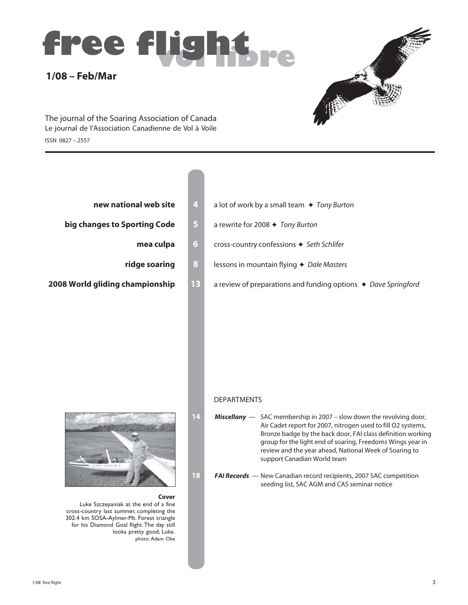# **1/08 – Feb/Mar free flight**



ISSN 0827 – 2557 The journal of the Soaring Association of Canada Le journal de l'Association Canadienne de Vol à Voile

- 
- **big changes to Sporting Code 5** a rewrite for 2008  $\div$  Tony Burton
	-
	-
- 
- **new national web site 4** a lot of work by a small team ♦ Tony Burton
	-
	- **mea culpa 6 cross-country confessions**  $\div$  **Seth Schlifer**
	- **ridge soaring 8** lessons in mountain flying  $\rightarrow$  Dale Masters
- **2008 World gliding championship** 13 a review of preparations and funding options  $\rightarrow$  Dave Springford

#### DEPARTMENTS

- **14** *Miscellany*  SAC membership in 2007 slow down the revolving door, Air Cadet report for 2007, nitrogen used to fill O2 systems, Bronze badge by the back door, FAI class definition working group for the light end of soaring, Freedoms Wings year in review and the year ahead, National Week of Soaring to support Canadian World team
- **18** *FAI Records*  New Canadian record recipients, 2007 SAC competition seeding list, SAC AGM and CAS seminar notice



#### **Cover**

Luke Szczepaniak at the end of a fine cross-country last summer, completing the 302.4 km SOSA-Aylmer-Mt. Forest triangle for his Diamond Goal flight. The day still looks pretty good, Luke. photo: Adam Oke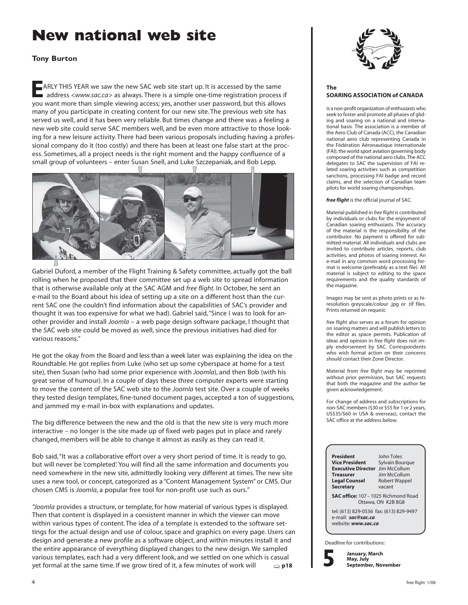## **New national web site**

#### **Tony Burton**

**E** ARLY THIS YEAR we saw the new SAC web site start up. It is accessed by the same address *<www.sac.ca>* as always. There is a simple one-time registration process if you want more than simple viewing access; yes, another user password, but this allows many of you participate in creating content for our new site. The previous web site has served us well, and it has been very reliable. But times change and there was a feeling a new web site could serve SAC members well, and be even more attractive to those looking for a new leisure activity. There had been various proposals including having a professional company do it (too costly) and there has been at least one false start at the process. Sometimes, all a project needs is the right moment and the happy confluence of a small group of volunteers – enter Susan Snell, and Luke Szczepaniak, and Bob Lepp.



Gabriel Duford, a member of the Flight Training & Safety committee, actually got the ball rolling when he proposed that their committee set up a web site to spread information that is otherwise available only at the SAC AGM and *free flight*. In October, he sent an e-mail to the Board about his idea of setting up a site on a different host than the current SAC one (he couldn't find information about the capabilities of SAC's provider and thought it was too expensive for what we had). Gabriel said, "Since I was to look for another provider and install *Joomla* – a web page design software package, I thought that the SAC web site could be moved as well, since the previous initiatives had died for various reasons."

He got the okay from the Board and less than a week later was explaining the idea on the Roundtable. He got replies from Luke (who set up some cyberspace at home for a test site), then Susan (who had some prior experience with *Joomla*), and then Bob (with his great sense of humour). In a couple of days these three computer experts were starting to move the content of the SAC web site to the *Joomla* test site. Over a couple of weeks they tested design templates, fine-tuned document pages, accepted a ton of suggestions, and jammed my e-mail in-box with explanations and updates.

The big difference between the new and the old is that the new site is very much more interactive – no longer is the site made up of fixed web pages put in place and rarely changed, members will be able to change it almost as easily as they can read it.

Bob said, "It was a collaborative effort over a very short period of time. It is ready to go, but will never be 'completed'. You will find all the same information and documents you need somewhere in the new site, admittedly looking very different at times. The new site uses a new tool, or concept, categorized as a "Content Management System" or CMS. Our chosen CMS is *Joomla*, a popular free tool for non-profit use such as ours."

*"Joomla* provides a structure, or template, for how material of various types is displayed. Then that content is displayed in a consistent manner in which the viewer can move within various types of content. The idea of a template is extended to the software settings for the actual design and use of colour, space and graphics on every page. Users can design and generate a new profile as a software object, and within minutes install it and the entire appearance of everything displayed changes to the new design. We sampled various templates, each had a very different look, and we settled on one which is casual yet formal at the same time. If we grow tired of it, a few minutes of work will  $\Rightarrow$  **p18** 



#### **The SOARING ASSOCIATION of CANADA**

is a non-profit organization of enthusiasts who seek to foster and promote all phases of gliding and soaring on a national and international basis. The association is a member of the Aero Club of Canada (ACC), the Canadian national aero club representing Canada in the Fédération Aéronautique Internationale (FAI), the world sport aviation governing body composed of the national aero clubs. The ACC delegates to SAC the supervision of FAI related soaring activities such as competition sanctions, processing FAI badge and record claims, and the selection of Canadian team pilots for world soaring championships.

#### *free flight* is the official journal of SAC.

Material published in *free flight* is contributed by individuals or clubs for the enjoyment of Canadian soaring enthusiasts. The accuracy of the material is the responsibility of the contributor. No payment is offered for submitted material. All individuals and clubs are invited to contribute articles, reports, club activities, and photos of soaring interest. An e-mail in any common word processing format is welcome (preferably as a text file). All material is subject to editing to the space requirements and the quality standards of the magazine.

Images may be sent as photo prints or as hiresolution greyscale/colour .jpg or .tif files. Prints returned on request.

*free flight* also serves as a forum for opinion on soaring matters and will publish letters to the editor as space permits. Publication of ideas and opinion in *free flight* does not imply endorsement by SAC. Correspondents who wish formal action on their concerns should contact their Zone Director.

Material from *free flight* may be reprinted without prior permission, but SAC requests that both the magazine and the author be given acknowledgement.

For change of address and subscriptions for non-SAC members (\$30 or \$55 for 1 or 2 years, US\$35/\$60 in USA & overseas), contact the SAC office at the address below.

| President                                                                            | John Toles           |  |  |  |  |  |
|--------------------------------------------------------------------------------------|----------------------|--|--|--|--|--|
| <b>Vice President</b>                                                                | Sylvain Bourque      |  |  |  |  |  |
| <b>Executive Director</b> Jim McCollum                                               |                      |  |  |  |  |  |
| <b>Treasurer</b>                                                                     | lim McCollum         |  |  |  |  |  |
| <b>Legal Counsel</b>                                                                 | <b>Robert Wappel</b> |  |  |  |  |  |
| <b>Secretary</b>                                                                     | vacant               |  |  |  |  |  |
| SAC office: 107 - 1025 Richmond Road<br>Ottawa, ON K2B 8G8                           |                      |  |  |  |  |  |
| tel: (613) 829-0536 fax: (613) 829-9497<br>e-mail: sac@sac.ca<br>website: www.sac.ca |                      |  |  |  |  |  |
|                                                                                      |                      |  |  |  |  |  |

Deadline for contributions:

**5**

**January, March May, July September, November**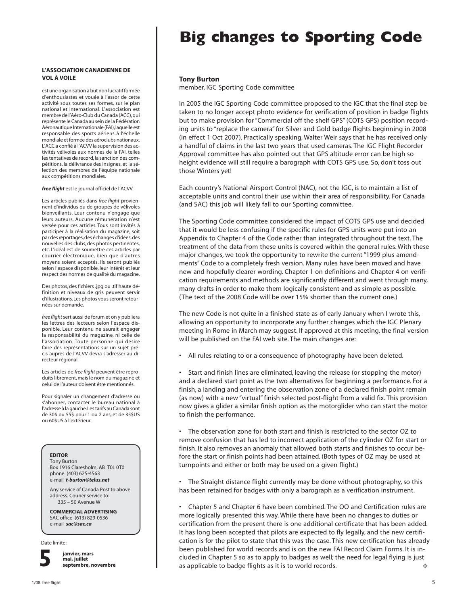#### **L'ASSOCIATION CANADIENNE DE VOL À VOILE**

est une organisation à but non lucratif formée d'enthousiastes et vouée à l'essor de cette activité sous toutes ses formes, sur le plan national et international. L'association est membre de l'Aéro-Club du Canada (ACC), qui représente le Canada au sein de la Fédération Aéronautique Internationale (FAI), laquelle est responsable des sports aériens à l'échelle mondiale et formée des aéroclubs nationaux. L'ACC a confié à l'ACVV la supervision des activités vélivoles aux normes de la FAI, telles les tentatives de record, la sanction des compétitions, la délivrance des insignes, et la sélection des membres de l'équipe nationale aux compétitions mondiales.

*free flight* est le journal officiel de l'ACVV.

Les articles publiés dans *free flight* proviennent d'individus ou de groupes de vélivoles bienveillants. Leur contenu n'engage que leurs auteurs. Aucune rémunération n'est versée pour ces articles. Tous sont invités à participer à la réalisation du magazine, soit par des reportages, des échanges d'idées, des nouvelles des clubs, des photos pertinentes, etc. L'idéal est de soumettre ces articles par courrier électronique, bien que d'autres moyens soient acceptés. Ils seront publiés selon l'espace disponible, leur intérêt et leur respect des normes de qualité du magazine.

Des photos, des fichiers .jpg ou .tif haute définition et niveaux de gris peuvent servir d'illustrations. Les photos vous seront retournées sur demande.

*free flight* sert aussi de forum et on y publiera les lettres des lecteurs selon l'espace disponible. Leur contenu ne saurait engager la responsabilité du magazine, ni celle de l'association. Toute personne qui désire faire des représentations sur un sujet précis auprès de l'ACVV devra s'adresser au directeur régional.

Les articles de *free flight* peuvent être reproduits librement, mais le nom du magazine et celui de l'auteur doivent être mentionnés.

Pour signaler un changement d'adresse ou s'abonner, contacter le bureau national à l'adresse à la gauche. Les tarifs au Canada sont de 30\$ ou 55\$ pour 1 ou 2 ans, et de 35\$US ou 60\$US à l'extérieur.

#### **EDITOR**

Tony Burton Box 1916 Claresholm, AB T0L 0T0 phone (403) 625-4563 e-mail *t-burton@telus.net*

Any service of Canada Post to above address. Courier service to: 335 – 50 Avenue W

#### **COMMERCIAL ADVERTISING**

SAC office (613) 829-0536 e-mail *sac@sac.ca*

Date limite:



**janvier, mars mai, juillet septembre, novembre**

## **Big changes to Sporting Code**

#### **Tony Burton**

member, IGC Sporting Code committee

In 2005 the IGC Sporting Code committee proposed to the IGC that the final step be taken to no longer accept photo evidence for verification of position in badge flights but to make provision for "Commercial off the shelf GPS" (COTS GPS) position recording units to "replace the camera" for Silver and Gold badge flights beginning in 2008 (in effect 1 Oct 2007). Practically speaking, Walter Weir says that he has received only a handful of claims in the last two years that used cameras. The IGC Flight Recorder Approval committee has also pointed out that GPS altitude error can be high so height evidence will still require a barograph with COTS GPS use. So, don't toss out those Winters yet!

Each country's National Airsport Control (NAC), not the IGC, is to maintain a list of acceptable units and control their use within their area of responsibility. For Canada (and SAC) this job will likely fall to our Sporting committee.

The Sporting Code committee considered the impact of COTS GPS use and decided that it would be less confusing if the specific rules for GPS units were put into an Appendix to Chapter 4 of the Code rather than integrated throughout the text. The treatment of the data from these units is covered within the general rules. With these major changes, we took the opportunity to rewrite the current "1999 plus amendments" Code to a completely fresh version. Many rules have been moved and have new and hopefully clearer wording. Chapter 1 on definitions and Chapter 4 on verification requirements and methods are significantly different and went through many, many drafts in order to make them logically consistent and as simple as possible. (The text of the 2008 Code will be over 15% shorter than the current one.)

The new Code is not quite in a finished state as of early January when I wrote this, allowing an opportunity to incorporate any further changes which the IGC Plenary meeting in Rome in March may suggest. If approved at this meeting, the final version will be published on the FAI web site. The main changes are:

• All rules relating to or a consequence of photography have been deleted.

• Start and finish lines are eliminated, leaving the release (or stopping the motor) and a declared start point as the two alternatives for beginning a performance. For a finish, a landing and entering the observation zone of a declared finish point remain (as now) with a new "virtual" finish selected post-flight from a valid fix. This provision now gives a glider a similar finish option as the motorglider who can start the motor to finish the performance.

The observation zone for both start and finish is restricted to the sector OZ to remove confusion that has led to incorrect application of the cylinder OZ for start or finish. It also removes an anomaly that allowed both starts and finishes to occur before the start or finish points had been attained. (Both types of OZ may be used at turnpoints and either or both may be used on a given flight.)

• The Straight distance flight currently may be done without photography, so this has been retained for badges with only a barograph as a verification instrument.

• Chapter 5 and Chapter 6 have been combined. The OO and Certification rules are more logically presented this way. While there have been no changes to duties or certification from the present there is one additional certificate that has been added. It has long been accepted that pilots are expected to fly legally, and the new certification is for the pilot to state that this was the case. This new certification has already been published for world records and is on the new FAI Record Claim Forms. It is included in Chapter 5 so as to apply to badges as well; the need for legal flying is just as applicable to badge flights as it is to world records.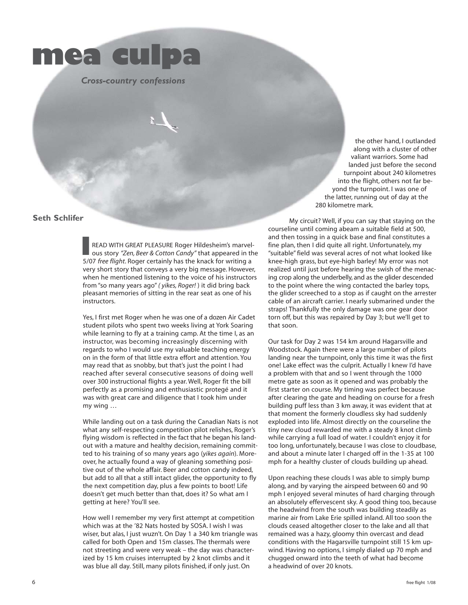

 *Cross-country confessions*

#### **Seth Schlifer**

READ WITH GREAT PLEASURE Roger Hildesheim's marvelous story *"Zen, Beer & Cotton Candy"* that appeared in the 5/07 *free flight*. Roger certainly has the knack for writing a very short story that conveys a very big message. However, when he mentioned listening to the voice of his instructors from "so many years ago" *( yikes, Roger!* ) it did bring back pleasant memories of sitting in the rear seat as one of his instructors. **I**

Yes, I first met Roger when he was one of a dozen Air Cadet student pilots who spent two weeks living at York Soaring while learning to fly at a training camp. At the time I, as an instructor, was becoming increasingly discerning with regards to who I would use my valuable teaching energy on in the form of that little extra effort and attention. You may read that as snobby, but that's just the point I had reached after several consecutive seasons of doing well over 300 instructional flights a year. Well, Roger fit the bill perfectly as a promising and enthusiastic protegé and it was with great care and diligence that I took him under my wing …

While landing out on a task during the Canadian Nats is not what any self-respecting competition pilot relishes, Roger's flying wisdom is reflected in the fact that he began his landout with a mature and healthy decision, remaining committed to his training of so many years ago (*yikes again*). Moreover, he actually found a way of gleaning something positive out of the whole affair. Beer and cotton candy indeed, but add to all that a still intact glider, the opportunity to fly the next competition day, plus a few points to boot! Life doesn't get much better than that, does it? So what am I getting at here? You'll see.

How well I remember my very first attempt at competition which was at the '82 Nats hosted by SOSA. I wish I was wiser, but alas, I just wuzn't. On Day 1 a 340 km triangle was called for both Open and 15m classes. The thermals were not streeting and were very weak – the day was characterized by 15 km cruises interrupted by 2 knot climbs and it was blue all day. Still, many pilots finished, if only just. On

the other hand, I outlanded along with a cluster of other valiant warriors. Some had landed just before the second turnpoint about 240 kilometres into the flight, others not far beyond the turnpoint. I was one of the latter, running out of day at the 280 kilometre mark.

 My circuit? Well, if you can say that staying on the courseline until coming abeam a suitable field at 500, and then tossing in a quick base and final constitutes a fine plan, then I did quite all right. Unfortunately, my "suitable" field was several acres of not what looked like knee-high grass, but eye-high barley! My error was not realized until just before hearing the swish of the menacing crop along the underbelly, and as the glider descended to the point where the wing contacted the barley tops, the glider screeched to a stop as if caught on the arrester cable of an aircraft carrier. I nearly submarined under the straps! Thankfully the only damage was one gear door torn off, but this was repaired by Day 3; but we'll get to that soon.

Our task for Day 2 was 154 km around Hagarsville and Woodstock. Again there were a large number of pilots landing near the turnpoint, only this time it was the first one! Lake effect was the culprit. Actually I knew I'd have a problem with that and so I went through the 1000 metre gate as soon as it opened and was probably the first starter on course. My timing was perfect because after clearing the gate and heading on course for a fresh building puff less than 3 km away, it was evident that at that moment the formerly cloudless sky had suddenly exploded into life. Almost directly on the courseline the tiny new cloud rewarded me with a steady 8 knot climb while carrying a full load of water. I couldn't enjoy it for too long, unfortunately, because I was close to cloudbase, and about a minute later I charged off in the 1-35 at 100 mph for a healthy cluster of clouds building up ahead.

Upon reaching these clouds I was able to simply bump along, and by varying the airspeed between 60 and 90 mph I enjoyed several minutes of hard charging through an absolutely effervescent sky. A good thing too, because the headwind from the south was building steadily as marine air from Lake Erie spilled inland. All too soon the clouds ceased altogether closer to the lake and all that remained was a hazy, gloomy thin overcast and dead conditions with the Hagarsville turnpoint still 15 km upwind. Having no options, I simply dialed up 70 mph and chugged onward into the teeth of what had become a headwind of over 20 knots.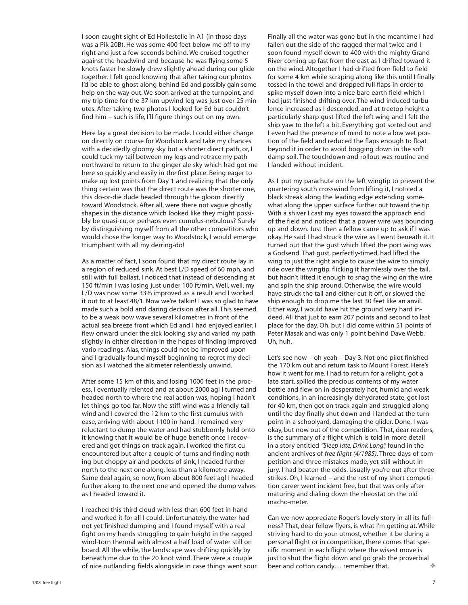I soon caught sight of Ed Hollestelle in A1 (in those days was a Pik 20B). He was some 400 feet below me off to my right and just a few seconds behind. We cruised together against the headwind and because he was flying some 5 knots faster he slowly drew slightly ahead during our glide together. I felt good knowing that after taking our photos I'd be able to ghost along behind Ed and possibly gain some help on the way out. We soon arrived at the turnpoint, and my trip time for the 37 km upwind leg was just over 25 minutes. After taking two photos I looked for Ed but couldn't find him – such is life, I'll figure things out on my own.

Here lay a great decision to be made. I could either charge on directly on course for Woodstock and take my chances with a decidedly gloomy sky but a shorter direct path, or, I could tuck my tail between my legs and retrace my path northward to return to the ginger ale sky which had got me here so quickly and easily in the first place. Being eager to make up lost points from Day 1 and realizing that the only thing certain was that the direct route was the shorter one, this do-or-die dude headed through the gloom directly toward Woodstock. After all, were there not vague ghostly shapes in the distance which looked like they might possibly be quasi-cu, or perhaps even cumulus-nebulous? Surely by distinguishing myself from all the other competitors who would chose the longer way to Woodstock, I would emerge triumphant with all my derring-do!

As a matter of fact, I soon found that my direct route lay in a region of reduced sink. At best L/D speed of 60 mph, and still with full ballast, I noticed that instead of descending at 150 ft/min I was losing just under 100 ft/min. Well, well, my L/D was now some 33% improved as a result and I worked it out to at least 48/1. Now we're talkin! I was so glad to have made such a bold and daring decision after all. This seemed to be a weak bow wave several kilometres in front of the actual sea breeze front which Ed and I had enjoyed earlier. I flew onward under the sick looking sky and varied my path slightly in either direction in the hopes of finding improved vario readings. Alas, things could not be improved upon and I gradually found myself beginning to regret my decision as I watched the altimeter relentlessly unwind.

After some 15 km of this, and losing 1000 feet in the process, I eventually relented and at about 2000 agl I turned and headed north to where the real action was, hoping I hadn't let things go too far. Now the stiff wind was a friendly tailwind and I covered the 12 km to the first cumulus with ease, arriving with about 1100 in hand. I remained very reluctant to dump the water and had stubbornly held onto it knowing that it would be of huge benefit once I recovered and got things on track again. I worked the first cu encountered but after a couple of turns and finding nothing but choppy air and pockets of sink, I headed further north to the next one along, less than a kilometre away. Same deal again, so now, from about 800 feet agl I headed further along to the next one and opened the dump valves as I headed toward it.

I reached this third cloud with less than 600 feet in hand and worked it for all I could. Unfortunately, the water had not yet finished dumping and I found myself with a real fight on my hands struggling to gain height in the ragged wind-torn thermal with almost a half load of water still on board. All the while, the landscape was drifting quickly by beneath me due to the 20 knot wind. There were a couple of nice outlanding fields alongside in case things went sour.

Finally all the water was gone but in the meantime I had fallen out the side of the ragged thermal twice and I soon found myself down to 400 with the mighty Grand River coming up fast from the east as I drifted toward it on the wind. Altogether I had drifted from field to field for some 4 km while scraping along like this until I finally tossed in the towel and dropped full flaps in order to spike myself down into a nice bare earth field which I had just finished drifting over. The wind-induced turbulence increased as I descended, and at treetop height a particularly sharp gust lifted the left wing and I felt the ship yaw to the left a bit. Everything got sorted out and I even had the presence of mind to note a low wet portion of the field and reduced the flaps enough to float beyond it in order to avoid bogging down in the soft damp soil. The touchdown and rollout was routine and I landed without incident.

As I put my parachute on the left wingtip to prevent the quartering south crosswind from lifting it, I noticed a black streak along the leading edge extending somewhat along the upper surface further out toward the tip. With a shiver I cast my eyes toward the approach end of the field and noticed that a power wire was bouncing up and down. Just then a fellow came up to ask if I was okay. He said I had struck the wire as I went beneath it. It turned out that the gust which lifted the port wing was a Godsend. That gust, perfectly-timed, had lifted the wing to just the right angle to cause the wire to simply ride over the wingtip, flicking it harmlessly over the tail, but hadn't lifted it enough to snag the wing on the wire and spin the ship around. Otherwise, the wire would have struck the tail and either cut it off, or slowed the ship enough to drop me the last 30 feet like an anvil. Either way, I would have hit the ground very hard indeed. All that just to earn 207 points and second to last place for the day. Oh, but I did come within 51 points of Peter Masak and was only 1 point behind Dave Webb. Uh, huh.

Let's see now – oh yeah – Day 3. Not one pilot finished the 170 km out and return task to Mount Forest. Here's how it went for me. I had to return for a relight, got a late start, spilled the precious contents of my water bottle and flew on in desperately hot, humid and weak conditions, in an increasingly dehydrated state, got lost for 40 km, then got on track again and struggled along until the day finally shut down and I landed at the turnpoint in a schoolyard, damaging the glider. Done. I was okay, but now out of the competition. That, dear readers, is the summary of a flight which is told in more detail in a story entitled *"Sleep late, Drink Long",* found in the ancient archives of *free flight (4/1985)*. Three days of competition and three mistakes made, yet still without injury. I had beaten the odds. Usually you're out after three strikes. Oh, I learned – and the rest of my short competition career went incident free, but that was only after maturing and dialing down the rheostat on the old macho-meter.

Can we now appreciate Roger's lovely story in all its fullness? That, dear fellow flyers, is what I'm getting at. While striving hard to do your utmost, whether it be during a personal flight or in competition, there comes that specific moment in each flight where the wisest move is just to shut the flight down and go grab the proverbial beer and cotton candy… remember that.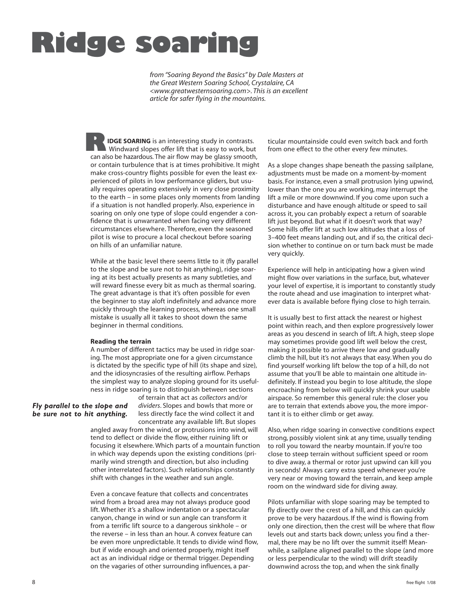# **Ridge soaring**

*from "Soaring Beyond the Basics" by Dale Masters at the Great Western Soaring School, Crystalaire, CA <www.greatwesternsoaring.com>. This is an excellent article for safer flying in the mountains.*

**IDGE SOARING** is an interesting study in contrasts. Windward slopes offer lift that is easy to work, but can also be hazardous. The air flow may be glassy smooth, or contain turbulence that is at times prohibitive. It might make cross-country flights possible for even the least experienced of pilots in low performance gliders, but usually requires operating extensively in very close proximity to the earth – in some places only moments from landing if a situation is not handled properly. Also, experience in soaring on only one type of slope could engender a confidence that is unwarranted when facing very different circumstances elsewhere. Therefore, even the seasoned pilot is wise to procure a local checkout before soaring on hills of an unfamiliar nature. **R**

While at the basic level there seems little to it (fly parallel to the slope and be sure not to hit anything), ridge soaring at its best actually presents as many subtleties, and will reward finesse every bit as much as thermal soaring. The great advantage is that it's often possible for even the beginner to stay aloft indefinitely and advance more quickly through the learning process, whereas one small mistake is usually all it takes to shoot down the same beginner in thermal conditions.

#### **Reading the terrain**

A number of different tactics may be used in ridge soaring. The most appropriate one for a given circumstance is dictated by the specific type of hill (its shape and size), and the idiosyncrasies of the resulting airflow. Perhaps the simplest way to analyze sloping ground for its usefulness in ridge soaring is to distinguish between sections

#### *Fly parallel to the slope and be sure not to hit anything.*

of terrain that act as *collectors* and/or *dividers*. Slopes and bowls that more or less directly face the wind collect it and concentrate any available lift. But slopes

angled away from the wind, or protrusions into wind, will tend to deflect or divide the flow, either ruining lift or focusing it elsewhere. Which parts of a mountain function in which way depends upon the existing conditions (primarily wind strength and direction, but also including other interrelated factors). Such relationships constantly shift with changes in the weather and sun angle.

Even a concave feature that collects and concentrates wind from a broad area may not always produce good lift. Whether it's a shallow indentation or a spectacular canyon, change in wind or sun angle can transform it from a terrific lift source to a dangerous sinkhole – or the reverse – in less than an hour. A convex feature can be even more unpredictable. It tends to divide wind flow, but if wide enough and oriented properly, might itself act as an individual ridge or thermal trigger. Depending on the vagaries of other surrounding influences, a par-

ticular mountainside could even switch back and forth from one effect to the other every few minutes.

As a slope changes shape beneath the passing sailplane, adjustments must be made on a moment-by-moment basis. For instance, even a small protrusion lying upwind, lower than the one you are working, may interrupt the lift a mile or more downwind. If you come upon such a disturbance and have enough altitude or speed to sail across it, you can probably expect a return of soarable lift just beyond. But what if it doesn't work that way? Some hills offer lift at such low altitudes that a loss of 3–400 feet means landing out, and if so, the critical decision whether to continue on or turn back must be made very quickly.

Experience will help in anticipating how a given wind might flow over variations in the surface, but, whatever your level of expertise, it is important to constantly study the route ahead and use imagination to interpret whatever data is available before flying close to high terrain.

It is usually best to first attack the nearest or highest point within reach, and then explore progressively lower areas as you descend in search of lift. A high, steep slope may sometimes provide good lift well below the crest, making it possible to arrive there low and gradually climb the hill, but it's not always that easy. When you do find yourself working lift below the top of a hill, do not assume that you'll be able to maintain one altitude indefinitely. If instead you begin to lose altitude, the slope encroaching from below will quickly shrink your usable airspace. So remember this general rule: the closer you are to terrain that extends above you, the more important it is to either climb or get away.

Also, when ridge soaring in convective conditions expect strong, possibly violent sink at any time, usually tending to roll you toward the nearby mountain. If you're too close to steep terrain without sufficient speed or room to dive away, a thermal or rotor just upwind can kill you in seconds! Always carry extra speed whenever you're very near or moving toward the terrain, and keep ample room on the windward side for diving away.

Pilots unfamiliar with slope soaring may be tempted to fly directly over the crest of a hill, and this can quickly prove to be very hazardous. If the wind is flowing from only one direction, then the crest will be where that flow levels out and starts back down; unless you find a thermal, there may be no lift over the summit itself! Meanwhile, a sailplane aligned parallel to the slope (and more or less perpendicular to the wind) will drift steadily downwind across the top, and when the sink finally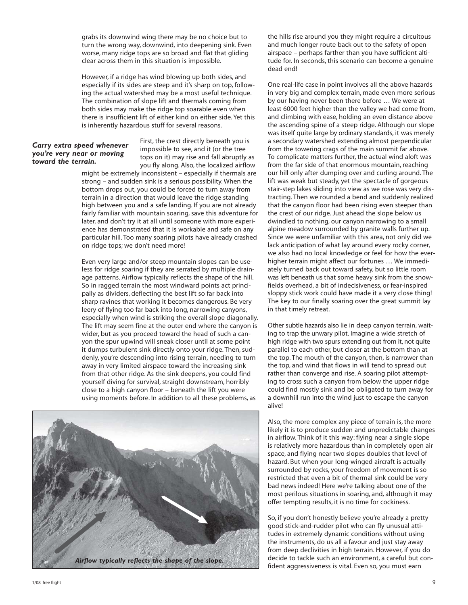grabs its downwind wing there may be no choice but to turn the wrong way, downwind, into deepening sink. Even worse, many ridge tops are so broad and flat that gliding clear across them in this situation is impossible.

However, if a ridge has wind blowing up both sides, and especially if its sides are steep and it's sharp on top, following the actual watershed may be a most useful technique. The combination of slope lift and thermals coming from both sides may make the ridge top soarable even when there is insufficient lift of either kind on either side. Yet this is inherently hazardous stuff for several reasons.

#### *Carry extra speed whenever you're very near or moving toward the terrain.*

First, the crest directly beneath you is impossible to see, and it (or the tree tops on it) may rise and fall abruptly as you fly along. Also, the localized airflow

might be extremely inconsistent – especially if thermals are strong – and sudden sink is a serious possibility. When the bottom drops out, you could be forced to turn away from terrain in a direction that would leave the ridge standing high between you and a safe landing. If you are not already fairly familiar with mountain soaring, save this adventure for later, and don't try it at all until someone with more experience has demonstrated that it is workable and safe on any particular hill. Too many soaring pilots have already crashed on ridge tops; we don't need more!

Even very large and/or steep mountain slopes can be useless for ridge soaring if they are serrated by multiple drainage patterns. Airflow typically reflects the shape of the hill. So in ragged terrain the most windward points act principally as dividers, deflecting the best lift so far back into sharp ravines that working it becomes dangerous. Be very leery of flying too far back into long, narrowing canyons, especially when wind is striking the overall slope diagonally. The lift may seem fine at the outer end where the canyon is wider, but as you proceed toward the head of such a canyon the spur upwind will sneak closer until at some point it dumps turbulent sink directly onto your ridge. Then, suddenly, you're descending into rising terrain, needing to turn away in very limited airspace toward the increasing sink from that other ridge. As the sink deepens, you could find yourself diving for survival, straight downstream, horribly close to a high canyon floor – beneath the lift you were using moments before. In addition to all these problems, as



the hills rise around you they might require a circuitous and much longer route back out to the safety of open airspace – perhaps farther than you have sufficient altitude for. In seconds, this scenario can become a genuine dead end!

One real-life case in point involves all the above hazards in very big and complex terrain, made even more serious by our having never been there before … We were at least 6000 feet higher than the valley we had come from, and climbing with ease, holding an even distance above the ascending spine of a steep ridge. Although our slope was itself quite large by ordinary standards, it was merely a secondary watershed extending almost perpendicular from the towering crags of the main summit far above. To complicate matters further, the actual wind aloft was from the far side of that enormous mountain, reaching our hill only after dumping over and curling around. The lift was weak but steady, yet the spectacle of gorgeous stair-step lakes sliding into view as we rose was very distracting. Then we rounded a bend and suddenly realized that the canyon floor had been rising even steeper than the crest of our ridge. Just ahead the slope below us dwindled to nothing, our canyon narrowing to a small alpine meadow surrounded by granite walls further up. Since we were unfamiliar with this area, not only did we lack anticipation of what lay around every rocky corner, we also had no local knowledge or feel for how the everhigher terrain might affect our fortunes … We immediately turned back out toward safety, but so little room was left beneath us that some heavy sink from the snowfields overhead, a bit of indecisiveness, or fear-inspired sloppy stick work could have made it a very close thing! The key to our finally soaring over the great summit lay in that timely retreat.

Other subtle hazards also lie in deep canyon terrain, waiting to trap the unwary pilot. Imagine a wide stretch of high ridge with two spurs extending out from it, not quite parallel to each other, but closer at the bottom than at the top. The mouth of the canyon, then, is narrower than the top, and wind that flows in will tend to spread out rather than converge and rise. A soaring pilot attempting to cross such a canyon from below the upper ridge could find mostly sink and be obligated to turn away for a downhill run into the wind just to escape the canyon alive!

Also, the more complex any piece of terrain is, the more likely it is to produce sudden and unpredictable changes in airflow. Think of it this way: flying near a single slope is relatively more hazardous than in completely open air space, and flying near two slopes doubles that level of hazard. But when your long-winged aircraft is actually surrounded by rocks, your freedom of movement is so restricted that even a bit of thermal sink could be very bad news indeed! Here we're talking about one of the most perilous situations in soaring, and, although it may offer tempting results, it is no time for cockiness.

So, if you don't honestly believe you're already a pretty good stick-and-rudder pilot who can fly unusual attitudes in extremely dynamic conditions without using the instruments, do us all a favour and just stay away from deep declivities in high terrain. However, if you do decide to tackle such an environment, a careful but confident aggressiveness is vital. Even so, you must earn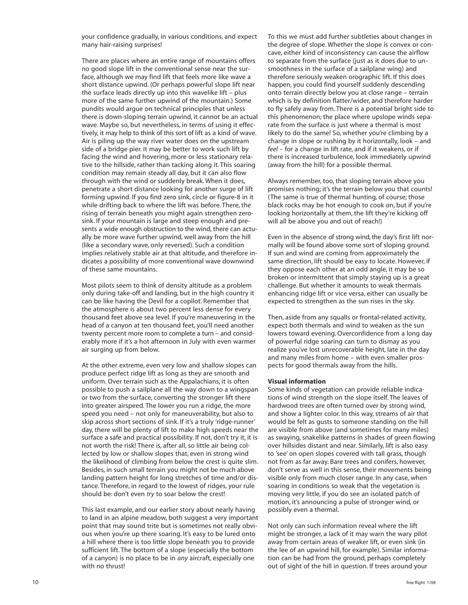your confidence gradually, in various conditions, and expect many hair-raising surprises!

There are places where an entire range of mountains offers no good slope lift in the conventional sense near the surface, although we may find lift that feels more like wave a short distance upwind. (Or perhaps powerful slope lift near the surface leads directly up into this wavelike lift – plus more of the same further upwind of the mountain.) Some pundits would argue on technical principles that unless there is down-sloping terrain upwind, it cannot be an actual wave. Maybe so, but nevertheless, in terms of using it effectively, it may help to think of this sort of lift as a kind of wave. Air is piling up the way river water does on the upstream side of a bridge pier. It may be better to work such lift by facing the wind and hovering, more or less stationary relative to the hillside, rather than tacking along it. This soaring condition may remain steady all day, but it can also flow through with the wind or suddenly break. When it does, penetrate a short distance looking for another surge of lift forming upwind. If you find zero sink, circle or figure-8 in it while drifting back to where the lift was before. There, the rising of terrain beneath you might again strengthen zerosink. If your mountain is large and steep enough and presents a wide enough obstruction to the wind, there can actually be more wave further upwind, well away from the hill (like a secondary wave, only reversed). Such a condition implies relatively stable air at that altitude, and therefore indicates a possibility of more conventional wave downwind of these same mountains.

Most pilots seem to think of density altitude as a problem only during take-off and landing, but in the high country it can be like having the Devil for a copilot. Remember that the atmosphere is about two percent less dense for every thousand feet above sea level. If you're maneuvering in the head of a canyon at ten thousand feet, you'll need another twenty percent more room to complete a turn – and considerably more if it's a hot afternoon in July with even warmer air surging up from below.

At the other extreme, even very low and shallow slopes can produce perfect ridge lift as long as they are smooth and uniform. Over terrain such as the Appalachians, it is often possible to push a sailplane all the way down to a wingspan or two from the surface, converting the stronger lift there into greater airspeed. The lower you run a ridge, the more speed you need – not only for maneuverability, but also to skip across short sections of sink. If it's a truly 'ridge-runner' day, there will be plenty of lift to make high speeds near the surface a safe and practical possibility. If not, don't try it, it is not worth the risk! There is, after all, so little air being collected by low or shallow slopes that, even in strong wind the likelihood of climbing from below the crest is quite slim. Besides, in such small terrain you might not be much above landing pattern height for long stretches of time and/or distance. Therefore, in regard to the lowest of ridges, your rule should be: don't even *try* to soar below the crest!

This last example, and our earlier story about nearly having to land in an alpine meadow, both suggest a very important point that may sound trite but is sometimes not really obvious when you're up there soaring. It's easy to be lured onto a hill where there is too little slope beneath you to provide sufficient lift. The bottom of a slope (especially the bottom of a canyon) is no place to be in *any* aircraft, especially one with no thrust!

To this we must add further subtleties about changes in the degree of slope. Whether the slope is convex or concave, either kind of inconsistency can cause the airflow to separate from the surface (just as it does due to unsmoothness in the surface of a sailplane wing) and therefore seriously weaken orographic lift. If this does happen, you could find yourself suddenly descending onto terrain directly below you at close range – terrain which is by definition flatter/wider, and therefore harder to fly safely away from. There is a potential bright side to this phenomenon; the place where upslope winds separate from the surface is just where a thermal is most likely to do the same! So, whether you're climbing by a change in slope or rushing by it horizontally, look – and *feel* – for a change in lift rate, and if it weakens, or if there is increased turbulence, look immediately upwind (away from the hill) for a possible thermal.

Always remember, too, that sloping terrain above you promises nothing; it's the terrain below you that counts! (The same is true of thermal hunting, of course; those black rocks may be hot enough to cook on, but if you're looking horizontally at them, the lift they're kicking off will all be above you and out of reach!)

Even in the absence of strong wind, the day's first lift normally will be found above some sort of sloping ground. If sun and wind are coming from approximately the same direction, lift should be easy to locate. However, if they oppose each other at an odd angle, it may be so broken or intermittent that simply staying up is a great challenge. But whether it amounts to weak thermals enhancing ridge lift or vice versa, either can usually be expected to strengthen as the sun rises in the sky.

Then, aside from any squalls or frontal-related activity, expect both thermals and wind to weaken as the sun lowers toward evening. Overconfidence from a long day of powerful ridge soaring can turn to dismay as you realize you've lost unrecoverable height, late in the day and many miles from home – with even smaller prospects for good thermals away from the hills.

#### **Visual information**

Some kinds of vegetation can provide reliable indications of wind strength on the slope itself. The leaves of hardwood trees are often turned over by strong wind, and show a lighter color. In this way, streams of air that would be felt as gusts to someone standing on the hill are visible from above (and sometimes for many miles) as swaying, snakelike patterns in shades of green flowing over hillsides distant and near. Similarly, lift is also easy to 'see' on open slopes covered with tall grass, though not from as far away. Bare trees and conifers, however, don't serve as well in this sense, their movements being visible only from much closer range. In any case, when soaring in conditions so weak that the vegetation is moving very little, if you do see an isolated patch of motion, it's announcing a pulse of stronger wind, or possibly even a thermal.

Not only can such information reveal where the lift might be stronger, a lack of it may warn the wary pilot away from certain areas of weaker lift, or even sink (in the lee of an upwind hill, for example). Similar information can be had from the ground, perhaps completely out of sight of the hill in question. If trees around your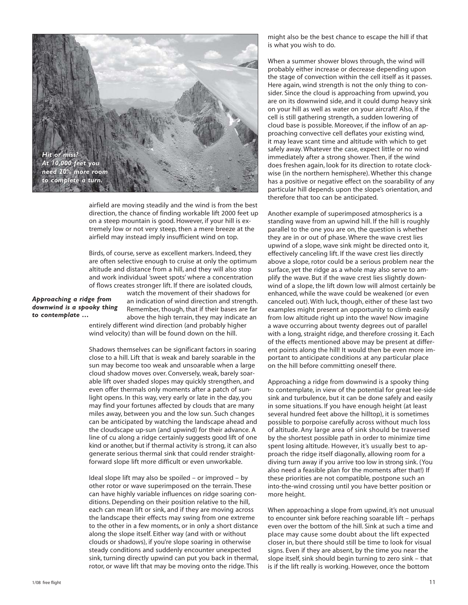

airfield are moving steadily and the wind is from the best direction, the chance of finding workable lift 2000 feet up on a steep mountain is good. However, if your hill is extremely low or not very steep, then a mere breeze at the airfield may instead imply insufficient wind on top.

Birds, of course, serve as excellent markers. Indeed, they are often selective enough to cruise at only the optimum altitude and distance from a hill, and they will also stop and work individual 'sweet spots' where a concentration of flows creates stronger lift. If there are isolated clouds,

*Approaching a ridge from downwind is a spooky thing to contemplate …*

watch the movement of their shadows for an indication of wind direction and strength. Remember, though, that if their bases are far above the high terrain, they may indicate an entirely different wind direction (and probably higher

wind velocity) than will be found down on the hill.

Shadows themselves can be significant factors in soaring close to a hill. Lift that is weak and barely soarable in the sun may become too weak and unsoarable when a large cloud shadow moves over. Conversely, weak, barely soarable lift over shaded slopes may quickly strengthen, and even offer thermals only moments after a patch of sunlight opens. In this way, very early or late in the day, you may find your fortunes affected by clouds that are many miles away, between you and the low sun. Such changes can be anticipated by watching the landscape ahead and the cloudscape up-sun (and upwind) for their advance. A line of cu along a ridge certainly suggests good lift of one kind or another, but if thermal activity is strong, it can also generate serious thermal sink that could render straightforward slope lift more difficult or even unworkable.

Ideal slope lift may also be spoiled – or improved – by other rotor or wave superimposed on the terrain. These can have highly variable influences on ridge soaring conditions. Depending on their position relative to the hill, each can mean lift or sink, and if they are moving across the landscape their effects may swing from one extreme to the other in a few moments, or in only a short distance along the slope itself. Either way (and with or without clouds or shadows), if you're slope soaring in otherwise steady conditions and suddenly encounter unexpected sink, turning directly upwind can put you back in thermal, rotor, or wave lift that may be moving onto the ridge. This

might also be the best chance to escape the hill if that is what you wish to do.

When a summer shower blows through, the wind will probably either increase or decrease depending upon the stage of convection within the cell itself as it passes. Here again, wind strength is not the only thing to consider. Since the cloud is approaching from upwind, you are on its downwind side, and it could dump heavy sink on your hill as well as water on your aircraft! Also, if the cell is still gathering strength, a sudden lowering of cloud base is possible. Moreover, if the inflow of an approaching convective cell deflates your existing wind, it may leave scant time and altitude with which to get safely away. Whatever the case, expect little or no wind immediately after a strong shower. Then, if the wind does freshen again, look for its direction to rotate clockwise (in the northern hemisphere). Whether this change has a positive or negative effect on the soarability of any particular hill depends upon the slope's orientation, and therefore that too can be anticipated.

Another example of superimposed atmospherics is a standing wave from an upwind hill. If the hill is roughly parallel to the one you are on, the question is whether they are in or out of phase. Where the wave crest lies upwind of a slope, wave sink might be directed onto it, effectively canceling lift. If the wave crest lies directly above a slope, rotor could be a serious problem near the surface, yet the ridge as a whole may also serve to amplify the wave. But if the wave crest lies slightly downwind of a slope, the lift down low will almost certainly be enhanced, while the wave could be weakened (or even canceled out). With luck, though, either of these last two examples might present an opportunity to climb easily from low altitude right up into the wave! Now imagine a wave occurring about twenty degrees out of parallel with a long, straight ridge, and therefore crossing it. Each of the effects mentioned above may be present at different points along the hill! It would then be even more important to anticipate conditions at any particular place on the hill before committing oneself there.

Approaching a ridge from downwind is a spooky thing to contemplate, in view of the potential for great lee-side sink and turbulence, but it can be done safely and easily in some situations. If you have enough height (at least several hundred feet above the hilltop), it is sometimes possible to porpoise carefully across without much loss of altitude. Any large area of sink should be traversed by the shortest possible path in order to minimize time spent losing altitude. However, it's usually best to approach the ridge itself diagonally, allowing room for a diving turn away if you arrive too low in strong sink. (You also need a feasible plan for the moments after that!) If these priorities are not compatible, postpone such an into-the-wind crossing until you have better position or more height.

When approaching a slope from upwind, it's not unusual to encounter sink before reaching soarable lift – perhaps even over the bottom of the hill. Sink at such a time and place may cause some doubt about the lift expected closer in, but there should still be time to look for visual signs. Even if they are absent, by the time you near the slope itself, sink should begin turning to zero sink – that is if the lift really is working. However, once the bottom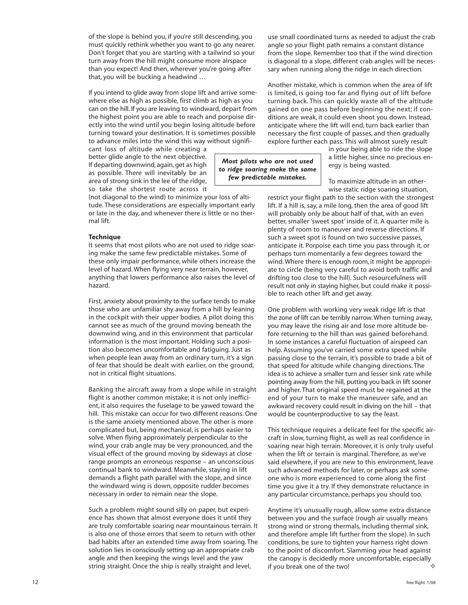of the slope is behind you, if you're still descending, you must quickly rethink whether you want to go any nearer. Don't forget that you are starting with a tailwind so your turn away from the hill might consume more airspace than you expect! And then, wherever you're going after that, you will be bucking a headwind …

If you intend to glide away from slope lift and arrive somewhere else as high as possible, first climb as high as you can on the hill. If you are leaving to windward, depart from the highest point you are able to reach and porpoise directly into the wind until you begin losing altitude before turning toward your destination. It is sometimes possible to advance miles into the wind this way without signifi-

cant loss of altitude while creating a better glide angle to the next objective. If departing downwind, again, get as high as possible. There will inevitably be an area of strong sink in the lee of the ridge, so take the shortest route across it

(not diagonal to the wind) to minimize your loss of altitude. These considerations are especially important early or late in the day, and whenever there is little or no thermal lift.

#### **Technique**

It seems that most pilots who are not used to ridge soaring make the same few predictable mistakes. Some of these only impair performance, while others increase the level of hazard. When flying very near terrain, however, anything that lowers performance also raises the level of hazard.

First, anxiety about proximity to the surface tends to make those who are unfamiliar shy away from a hill by leaning in the cockpit with their upper bodies. A pilot doing this cannot see as much of the ground moving beneath the downwind wing, and in this environment that particular information is the most important. Holding such a position also becomes uncomfortable and fatiguing. Just as when people lean away from an ordinary turn, it's a sign of fear that should be dealt with earlier, on the ground, not in critical flight situations.

Banking the aircraft away from a slope while in straight flight is another common mistake; it is not only inefficient, it also requires the fuselage to be yawed toward the hill. This mistake can occur for two different reasons. One is the same anxiety mentioned above. The other is more complicated but, being mechanical, is perhaps easier to solve. When flying approximately perpendicular to the wind, your crab angle may be very pronounced, and the visual effect of the ground moving by sideways at close range prompts an erroneous response – an unconscious continual bank to windward. Meanwhile, staying in lift demands a flight path parallel with the slope, and since the windward wing is down, opposite rudder becomes necessary in order to remain near the slope.

Such a problem might sound silly on paper, but experience has shown that almost everyone does it until they are truly comfortable soaring near mountainous terrain. It is also one of those errors that seem to return with other bad habits after an extended time away from soaring. The solution lies in consciously setting up an appropriate crab angle and then keeping the wings level and the yaw string straight. Once the ship is really straight and level,

use small coordinated turns as needed to adjust the crab angle so your flight path remains a constant distance from the slope. Remember too that if the wind direction is diagonal to a slope, different crab angles will be necessary when running along the ridge in each direction.

Another mistake, which is common when the area of lift is limited, is going too far and flying out of lift before turning back. This can quickly waste all of the altitude gained on one pass before beginning the next; if conditions are weak, it could even shoot you down. Instead, anticipate where the lift will end, turn back earlier than necessary the first couple of passes, and then gradually explore further each pass. This will almost surely result

*Most pilots who are not used to ridge soaring make the same few predictable mistakes.*

a little higher, since no precious energy is being wasted. To maximize altitude in an other-

in your being able to ride the slope

wise static ridge soaring situation, restrict your flight path to the section with the strongest lift. If a hill is, say, a mile long, then the area of good lift will probably only be about half of that, with an even better, smaller 'sweet spot' inside of it. A quarter mile is plenty of room to maneuver and reverse directions. If such a sweet spot is found on two successive passes, anticipate it. Porpoise each time you pass through it, or perhaps turn momentarily a few degrees toward the wind. Where there is enough room, it might be appropriate to circle (being very careful to avoid both traffic and drifting too close to the hill). Such resourcefulness will result not only in staying higher, but could make it possible to reach other lift and get away.

One problem with working very weak ridge lift is that the zone of lift can be terribly narrow. When turning away, you may leave the rising air and lose more altitude before returning to the hill than was gained beforehand. In some instances a careful fluctuation of airspeed can help. Assuming you've carried some extra speed while passing close to the terrain, it's possible to trade a bit of that speed for altitude while changing directions. The idea is to achieve a smaller turn and lesser sink rate while pointing away from the hill, putting you back in lift sooner and higher. That original speed must be regained at the end of your turn to make the maneuver safe, and an awkward recovery could result in diving on the hill – that would be counterproductive to say the least.

This technique requires a delicate feel for the specific aircraft in slow, turning flight, as well as real confidence in soaring near high terrain. Moreover, it is only truly useful when the lift or terrain is marginal. Therefore, as we've said elsewhere, if you are new to this environment, leave such advanced methods for later, or perhaps ask someone who is more experienced to come along the first time you give it a try. If they demonstrate reluctance in any particular circumstance, perhaps you should too.

Anytime it's unusually rough, allow some extra distance between you and the surface (rough air usually means strong wind or strong thermals, including thermal sink, and therefore ample lift further from the slope). In such conditions, be sure to tighten your harness right down to the point of discomfort. Slamming your head against the canopy is decidedly more uncomfortable, especially if you break one of the two! é.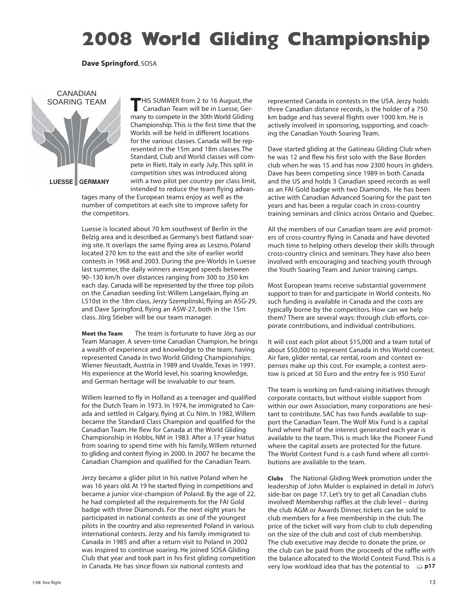## **2008 World Gliding Championship**

**Dave Springford**, SOSA



**T**HIS SUMMER from 2 to 16 August, the Canadian Team will be in Luesse, Germany to compete in the 30th World Gliding Championship. This is the first time that the Worlds will be held in different locations for the various classes. Canada will be represented in the 15m and 18m classes. The Standard, Club and World classes will compete in Rieti, Italy in early July. This split in competition sites was introduced along with a two pilot per country per class limit, intended to reduce the team flying advan-

tages many of the European teams enjoy as well as the number of competitors at each site to improve safety for the competitors.

Luesse is located about 70 km southwest of Berlin in the Belzig area and is described as Germany's best flatland soaring site. It overlaps the same flying area as Leszno, Poland located 270 km to the east and the site of earlier world contests in 1968 and 2003. During the pre-Worlds in Luesse last summer, the daily winners averaged speeds between 90–130 km/h over distances ranging from 300 to 350 km each day. Canada will be represented by the three top pilots on the Canadian seeding list: Willem Langelaan, flying an LS10st in the 18m class, Jerzy Szemplinski, flying an ASG-29, and Dave Springford, flying an ASW-27, both in the 15m class. Jörg Stieber will be our team manager.

**Meet the Team** The team is fortunate to have Jörg as our Team Manager. A seven-time Canadian Champion, he brings a wealth of experience and knowledge to the team, having represented Canada in two World Gliding Championships: Wiener Neustadt, Austria in 1989 and Uvalde, Texas in 1991. His experience at the World level, his soaring knowledge, and German heritage will be invaluable to our team.

Willem learned to fly in Holland as a teenager and qualified for the Dutch Team in 1973. In 1974, he immigrated to Canada and settled in Calgary, flying at Cu Nim. In 1982, Willem became the Standard Class Champion and qualified for the Canadian Team. He flew for Canada at the World Gliding Championship in Hobbs, NM in 1983. After a 17-year hiatus from soaring to spend time with his family, Willem returned to gliding and contest flying in 2000. In 2007 he became the Canadian Champion and qualified for the Canadian Team.

Jerzy became a glider pilot in his native Poland when he was 16 years old. At 19 he started flying in competitions and became a junior vice-champion of Poland. By the age of 22, he had completed all the requirements for the FAI Gold badge with three Diamonds. For the next eight years he participated in national contests as one of the youngest pilots in the country and also represented Poland in various international contests. Jerzy and his family immigrated to Canada in 1985 and after a return visit to Poland in 2002 was inspired to continue soaring. He joined SOSA Gliding Club that year and took part in his first gliding competition in Canada. He has since flown six national contests and

represented Canada in contests in the USA. Jerzy holds three Canadian distance records, is the holder of a 750 km badge and has several flights over 1000 km. He is actively involved in sponsoring, supporting, and coaching the Canadian Youth Soaring Team.

Dave started gliding at the Gatineau Gliding Club when he was 12 and flew his first solo with the Base Borden club when he was 15 and has now 2300 hours in gliders. Dave has been competing since 1989 in both Canada and the US and holds 3 Canadian speed records as well as an FAI Gold badge with two Diamonds. He has been active with Canadian Advanced Soaring for the past ten years and has been a regular coach in cross-country training seminars and clinics across Ontario and Quebec.

All the members of our Canadian team are avid promoters of cross-country flying in Canada and have devoted much time to helping others develop their skills through cross-country clinics and seminars. They have also been involved with encouraging and teaching youth through the Youth Soaring Team and Junior training camps.

Most European teams receive substantial government support to train for and participate in World contests. No such funding is available in Canada and the costs are typically borne by the competitors. How can we help them? There are several ways: through club efforts, corporate contributions, and individual contributions.

It will cost each pilot about \$15,000 and a team total of about \$50,000 to represent Canada in this World contest. Air fare, glider rental, car rental, room and contest expenses make up this cost. For example, a contest aerotow is priced at 50 Euro and the entry fee is 950 Euro!

The team is working on fund-raising initiatives through corporate contacts, but without visible support from within our own Association, many corporations are hesitant to contribute. SAC has two funds available to support the Canadian Team. The Wolf Mix Fund is a capital fund where half of the interest generated each year is available to the team. This is much like the Pioneer Fund where the capital assets are protected for the future. The World Contest Fund is a cash fund where all contributions are available to the team.

**Clubs** The National Gliding Week promotion under the leadership of John Mulder is explained in detail in John's side-bar on page 17. Let's try to get all Canadian clubs involved! Membership raffles at the club level – during the club AGM or Awards Dinner, tickets can be sold to club members for a free membership in the club. The price of the ticket will vary from club to club depending on the size of the club and cost of club membership. The club executive may decide to donate the prize, or the club can be paid from the proceeds of the raffle with the balance allocated to the World Contest Fund. This is a very low workload idea that has the potential to **p17**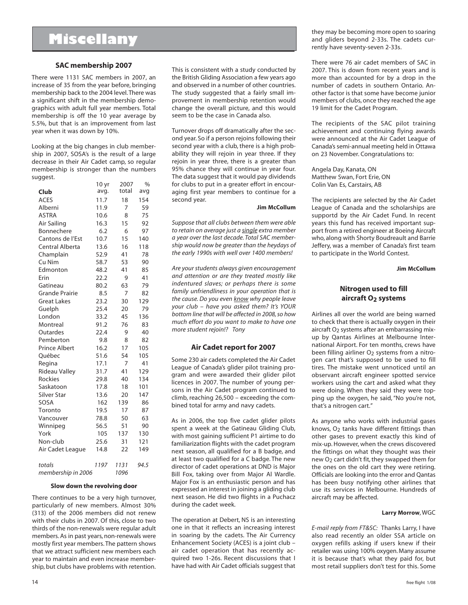## **Miscellany**

#### **SAC membership 2007**

There were 1131 SAC members in 2007, an increase of 35 from the year before, bringing membership back to the 2004 level. There was a significant shift in the membership demographics with adult full year members. Total membership is off the 10 year average by 5.5%, but that is an improvement from last year when it was down by 10%.

Looking at the big changes in club membership in 2007, SOSA's is the result of a large decrease in their Air Cadet camp, so regular membership is stronger than the numbers suggest.  $10 yr 2007 8$ 

|                       | 10 yr | 2007           | %    |
|-----------------------|-------|----------------|------|
| Club                  | avg.  | total<br>18    | avg  |
| <b>ACES</b>           | 11.7  | 154            |      |
| Alberni               | 11.9  | 7              | 59   |
| <b>ASTRA</b>          | 10.6  | 8              | 75   |
| Air Sailing           | 16.3  | 15             | 92   |
| Bonnechere            | 6.2   | 6              | 97   |
| Cantons de l'Est      | 10.7  | 15             | 140  |
| Central Alberta       | 13.6  | 16             | 118  |
| Champlain             | 52.9  | 41             | 78   |
| Cu Nim                | 58.7  | 53             | 90   |
| Edmonton              | 48.2  | 41             | 85   |
| Erin                  | 22.2  | 9              | 41   |
| Gatineau              | 80.2  | 63             | 79   |
| <b>Grande Prairie</b> | 8.5   | $\overline{7}$ | 82   |
| <b>Great Lakes</b>    | 23.2  | 30             | 129  |
| Guelph                | 25.4  | 20             | 79   |
| London                | 33.2  | 45             | 136  |
| Montreal              | 91.2  | 76             | 83   |
| Outardes              | 22.4  | 9              | 40   |
| Pemberton             | 9.8   | 8              | 82   |
| <b>Prince Albert</b>  | 16.2  | 17             | 105  |
| Ouébec                | 51.6  | 54             | 105  |
| Regina                | 17.1  | 7              | 41   |
| <b>Rideau Valley</b>  | 31.7  | 41             | 129  |
| <b>Rockies</b>        | 29.8  | 40             | 134  |
| Saskatoon             | 17.8  | 18             | 101  |
| Silver Star           | 13.6  | 20             | 147  |
| SOSA                  | 162   | 139            | 86   |
| Toronto               | 19.5  | 17             | 87   |
| Vancouver             | 78.8  | 50             | 63   |
| Winnipeg              | 56.5  | 51             | 90   |
| York                  | 105   | 137            | 130  |
| Non-club              | 25.6  | 31             | 121  |
| Air Cadet League      | 14.8  | 22             | 149  |
| totals                | 1197  | 1131           | 94.5 |
| membership in 2006    |       | 1096           |      |

#### **Slow down the revolving door**

There continues to be a very high turnover, particularly of new members. Almost 30% (313) of the 2006 members did not renew with their clubs in 2007. Of this, close to two thirds of the non-renewals were regular adult members. As in past years, non-renewals were mostly first year members. The pattern shows that we attract sufficient new members each year to maintain and even increase membership, but clubs have problems with retention.

This is consistent with a study conducted by the British Gliding Association a few years ago and observed in a number of other countries. The study suggested that a fairly small improvement in membership retention would change the overall picture, and this would seem to be the case in Canada also.

Turnover drops off dramatically after the second year. So if a person rejoins following their second year with a club, there is a high probability they will rejoin in year three. If they rejoin in year three, there is a greater than 95% chance they will continue in year four. The data suggest that it would pay dividends for clubs to put in a greater effort in encouraging first year members to continue for a second year.

#### **Jim McCollum**

*Suppose that all clubs between them were able to retain on average just a single extra member a year over the last decade. Total SAC membership would now be greater than the heydays of the early 1990s with well over 1400 members!*

*Are your students always given encouragement and attention or are they treated mostly like indentured slaves; or perhaps there is some family unfriendliness in your operation that is the cause. Do you even know why people leave your club – have you asked them? It's YOUR bottom line that will be affected in 2008, so how much effort do you want to make to have one more student rejoin!? Tony*

#### **Air Cadet report for 2007**

Some 230 air cadets completed the Air Cadet League of Canada's glider pilot training program and were awarded their glider pilot licences in 2007. The number of young persons in the Air Cadet program continued to climb, reaching 26,500 – exceeding the combined total for army and navy cadets.

As in 2006, the top five cadet glider pilots spent a week at the Gatineau Gliding Club, with most gaining sufficient P1 airtime to do familiarization flights with the cadet program next season, all qualified for a B badge, and at least two qualified for a C badge. The new director of cadet operations at DND is Major Bill Fox, taking over from Major Al Wardle. Major Fox is an enthusiastic person and has expressed an interest in joining a gliding club next season. He did two flights in a Puchacz during the cadet week.

The operation at Debert, NS is an interesting one in that it reflects an increasing interest in soaring by the cadets. The Air Currency Enhancement Society (ACES) is a joint club – air cadet operation that has recently acquired two 1-26s. Recent discussions that I have had with Air Cadet officials suggest that they may be becoming more open to soaring and gliders beyond 2-33s. The cadets currently have seventy-seven 2-33s.

There were 76 air cadet members of SAC in 2007. This is down from recent years and is more than accounted for by a drop in the number of cadets in southern Ontario. Another factor is that some have become junior members of clubs, once they reached the age 19 limit for the Cadet Program.

The recipients of the SAC pilot training achievement and continuing flying awards were announced at the Air Cadet League of Canada's semi-annual meeting held in Ottawa on 23 November. Congratulations to:

Angela Day, Kanata, ON Matthew Swan, Fort Erie, ON Colin Van Es, Carstairs, AB

The recipients are selected by the Air Cadet League of Canada and the scholarships are supportd by the Air Cadet Fund. In recent years this fund has received important support from a retired engineer at Boeing Aircraft who, along with Shorty Boudreault and Barrie Jeffery, was a member of Canada's first team to participate in the World Contest.

**Jim McCollum**

#### **Nitrogen used to fill aircraft O2 systems**

Airlines all over the world are being warned to check that there is actually oxygen in their aircraft O<sub>2</sub> systems after an embarrassing mixup by Qantas Airlines at Melbourne International Airport. For ten months, crews have been filling airliner O<sub>2</sub> systems from a nitrogen cart that's supposed to be used to fill tires. The mistake went unnoticed until an observant aircraft engineer spotted service workers using the cart and asked what they were doing. When they said they were topping up the oxygen, he said, "No you're not, that's a nitrogen cart."

As anyone who works with industrial gases knows,  $O<sub>2</sub>$  tanks have different fittings than other gases to prevent exactly this kind of mix-up. However, when the crews discovered the fittings on what they thought was their new  $O<sub>2</sub>$  cart didn't fit, they swapped them for the ones on the old cart they were retiring. Officials are looking into the error and Qantas has been busy notifying other airlines that use its services in Melbourne. Hundreds of aircraft may be affected.

#### **Larry Morrow**, WGC

*E-mail reply from FT&SC:* Thanks Larry, I have also read recently an older SSA article on oxygen refills asking if users knew if their retailer was using 100% oxygen. Many assume it is because that's what they paid for, but most retail suppliers don't test for this. Some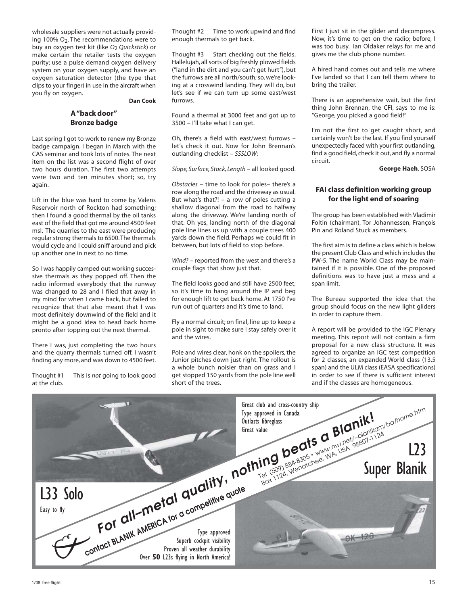wholesale suppliers were not actually providing 100% O2. The recommendations were to buy an oxygen test kit (like *O*2 *Quickstick*) or make certain the retailer tests the oxygen purity; use a pulse demand oxygen delivery system on your oxygen supply, and have an oxygen saturation detector (the type that clips to your finger) in use in the aircraft when you fly on oxygen.

**Dan Cook**

#### **A "back door" Bronze badge**

Last spring I got to work to renew my Bronze badge campaign. I began in March with the CAS seminar and took lots of notes. The next item on the list was a second flight of over two hours duration. The first two attempts were two and ten minutes short; so, try again.

Lift in the blue was hard to come by. Valens Reservoir north of Rockton had something; then I found a good thermal by the oil tanks east of the field that got me around 4500 feet msl. The quarries to the east were producing regular strong thermals to 6500. The thermals would cycle and I could sniff around and pick up another one in next to no time.

So I was happily camped out working successive thermals as they popped off. Then the radio informed everybody that the runway was changed to 28 and I filed that away in my mind for when I came back, but failed to recognize that that also meant that I was most definitely downwind of the field and it might be a good idea to head back home pronto after topping out the next thermal.

There I was, just completing the two hours and the quarry thermals turned off, I wasn't finding any more, and was down to 4500 feet.

Thought #1 This is *not* going to look good at the club.

Thought #2 Time to work upwind and find enough thermals to get back.

Thought #3 Start checking out the fields. Hallelujah, all sorts of big freshly plowed fields ("land in the dirt and you can't get hurt"), but the furrows are all north/south; so, we're looking at a crosswind landing. They will do, but let's see if we can turn up some east/west furrows.

Found a thermal at 3000 feet and got up to 3500 – I'll take what I can get.

Oh, there's a field with east/west furrows – let's check it out. Now for John Brennan's outlanding checklist – *SSSLOW*:

*Slope, Surface, Stock, Length* – all looked good.

*Obstacles* – time to look for poles– there's a row along the road and the driveway as usual. But what's that?! – a row of poles cutting a shallow diagonal from the road to halfway along the driveway. We're landing north of that. Oh yes, landing north of the diagonal pole line lines us up with a couple trees 400 yards down the field. Perhaps we could fit in between, but lots of field to stop before.

*Wind?* – reported from the west and there's a couple flags that show just that.

The field looks good and still have 2500 feet; so it's time to hang around the IP and beg for enough lift to get back home. At 1750 I've run out of quarters and it's time to land.

Fly a normal circuit; on final, line up to keep a pole in sight to make sure I stay safely over it and the wires.

Pole and wires clear, honk on the spoilers, the Junior pitches down just right. The rollout is a whole bunch noisier than on grass and I get stopped 150 yards from the pole line well short of the trees.

First I just sit in the glider and decompress. Now, it's time to get on the radio; before, I was too busy. Ian Oldaker relays for me and gives me the club phone number.

A hired hand comes out and tells me where I've landed so that I can tell them where to bring the trailer.

There is an apprehensive wait, but the first thing John Brennan, the CFI, says to me is: "George, you picked a good field!"

I'm not the first to get caught short, and certainly won't be the last. If you find yourself unexpectedly faced with your first outlanding, find a good field, check it out, and fly a normal circuit.

**George Haeh**, SOSA

#### **FAI class definition working group for the light end of soaring**

The group has been established with Vladimir Foltin (chairman), Tor Johannessen, François Pin and Roland Stuck as members.

The first aim is to define a class which is below the present Club Class and which includes the PW-5. The name World Class may be maintained if it is possible. One of the proposed definitions was to have just a mass and a span limit.

The Bureau supported the idea that the group should focus on the new light gliders in order to capture them.

A report will be provided to the IGC Plenary meeting. This report will not contain a firm proposal for a new class structure. It was agreed to organize an IGC test competition for 2 classes, an expanded World class (13.5 span) and the ULM class (EASA specifications) in order to see if there is sufficient interest and if the classes are homogeneous.

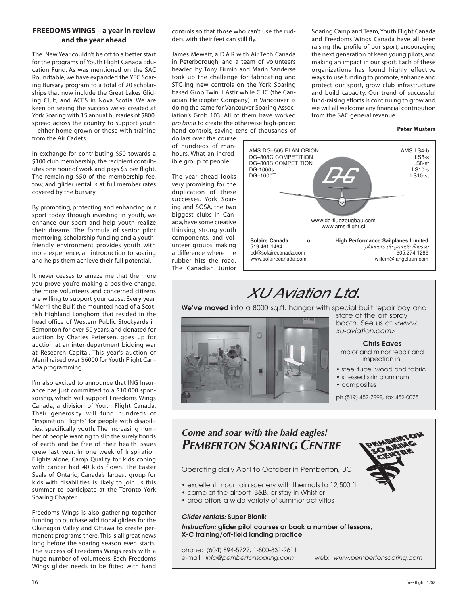#### **FREEDOMS WINGS – a year in review and the year ahead**

The New Year couldn't be off to a better start for the programs of Youth Flight Canada Education Fund. As was mentioned on the SAC Roundtable, we have expanded the YFC Soaring Bursary program to a total of 20 scholarships that now include the Great Lakes Gliding Club, and ACES in Nova Scotia. We are keen on seeing the success we've created at York Soaring with 15 annual bursaries of \$800, spread across the country to support youth – either home-grown or those with training from the Air Cadets.

In exchange for contributing \$50 towards a \$100 club membership, the recipient contributes one hour of work and pays \$5 per flight. The remaining \$50 of the membership fee, tow, and glider rental is at full member rates covered by the bursary.

By promoting, protecting and enhancing our sport today through investing in youth, we enhance our sport and help youth realize their dreams. The formula of senior pilot mentoring, scholarship funding and a youthfriendly environment provides youth with more experience, an introduction to soaring and helps them achieve their full potential.

It never ceases to amaze me that the more you prove you're making a positive change, the more volunteers and concerned citizens are willing to support your cause. Every year, "Merril the Bull", the mounted head of a Scottish Highland Longhorn that resided in the head office of Western Public Stockyards in Edmonton for over 50 years, and donated for auction by Charles Petersen, goes up for auction at an inter-department bidding war at Research Capital. This year's auction of Merril raised over \$6000 for Youth Flight Canada programming.

I'm also excited to announce that ING Insurance has just committed to a \$10,000 sponsorship, which will support Freedoms Wings Canada, a division of Youth Flight Canada. Their generosity will fund hundreds of "Inspiration Flights" for people with disabilities, specifically youth. The increasing number of people wanting to slip the surely bonds of earth and be free of their health issues grew last year. In one week of Inspiration Flights alone, Camp Quality for kids coping with cancer had 40 kids flown. The Easter Seals of Ontario, Canada's largest group for kids with disabilities, is likely to join us this summer to participate at the Toronto York Soaring Chapter.

Freedoms Wings is also gathering together funding to purchase additional gliders for the Okanagan Valley and Ottawa to create permanent programs there. This is all great news long before the soaring season even starts. The success of Freedoms Wings rests with a huge number of volunteers. Each Freedoms Wings glider needs to be fitted with hand

controls so that those who can't use the rudders with their feet can still fly.

James Mewett, a D.A.R with Air Tech Canada in Peterborough, and a team of volunteers headed by Tony Firmin and Marin Sanderse took up the challenge for fabricating and STC-ing new controls on the York Soaring based Grob Twin II Astir while CHC (the Canadian Helicopter Company) in Vancouver is doing the same for Vancouver Soaring Association's Grob 103. All of them have worked *pro bono* to create the otherwise high-priced hand controls, saving tens of thousands of Soaring Camp and Team, Youth Flight Canada and Freedoms Wings Canada have all been raising the profile of our sport, encouraging the next generation of keen young pilots, and making an impact in our sport. Each of these organizations has found highly effective ways to use funding to promote, enhance and protect our sport, grow club infrastructure and build capacity. Our trend of successful fund-raising efforts is continuing to grow and we will all welcome any financial contribution from the SAC general revenue.

**Peter Musters**

dollars over the course of hundreds of manhours. What an incredible group of people.

The year ahead looks very promising for the duplication of these successes. York Soaring and SOSA, the two biggest clubs in Canada, have some creative thinking, strong youth components, and volunteer groups making a difference where the rubber hits the road. The Canadian Junior



## XU Aviation Ltd.

**We've moved** into a 8000 sq.ft. hangar with special built repair bay and



state of the art spray booth. See us at *<www. xu-aviation.com>*

#### **Chris Eaves**

major and minor repair and inspection in:

- steel tube, wood and fabric
- stressed skin aluminum
- composites

ph (519) 452-7999, fax 452-0075

### **Come and soar with the bald eagles! PEMBERTON SOARING CENTRE**

Operating daily April to October in Pemberton, BC

- excellent mountain scenery with thermals to 12,500 ft
- camp at the airport, B&B, or stay in Whistler
- area offers a wide variety of summer activities

#### *Glider rentals: Super Blanik*

*Instruction: glider pilot courses or book a number of lessons, X-C training/off-field landing practice*

phone: (604) 894-5727, 1-800-831-2611

e-mail: *info@pembertonsoaring.com* web: *www.pembertonsoaring.com*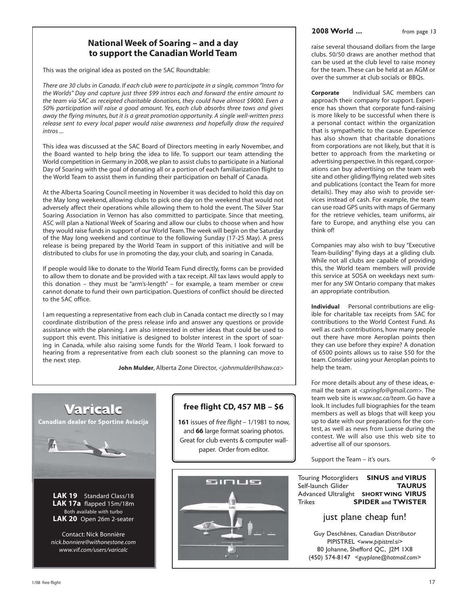#### **National Week of Soaring – and a day to support the Canadian World Team**

This was the original idea as posted on the SAC Roundtable:

*There are 30 clubs in Canada. If each club were to participate in a single, common "Intro for the Worlds" Day and capture just three \$99 intros each and forward the entire amount to the team via SAC as receipted charitable donations, they could have almost \$9000. Even a 50% participation will raise a good amount. Yes, each club absorbs three tows and gives away the flying minutes, but it is a great promotion opportunity. A single well-written press release sent to every local paper would raise awareness and hopefully draw the required intros ...*

This idea was discussed at the SAC Board of Directors meeting in early November, and the Board wanted to help bring the idea to life. To support our team attending the World competition in Germany in 2008, we plan to assist clubs to participate in a National Day of Soaring with the goal of donating all or a portion of each familiarization flight to the World Team to assist them in funding their participation on behalf of Canada.

At the Alberta Soaring Council meeting in November it was decided to hold this day on the May long weekend, allowing clubs to pick one day on the weekend that would not adversely affect their operations while allowing them to hold the event. The Silver Star Soaring Association in Vernon has also committed to participate. Since that meeting, ASC will plan a National Week of Soaring and allow our clubs to choose when and how they would raise funds in support of our World Team. The week will begin on the Saturday of the May long weekend and continue to the following Sunday (17-25 May). A press release is being prepared by the World Team in support of this initiative and will be distributed to clubs for use in promoting the day, your club, and soaring in Canada.

If people would like to donate to the World Team Fund directly, forms can be provided to allow them to donate and be provided with a tax receipt. All tax laws would apply to this donation – they must be "arm's-length" – for example, a team member or crew cannot donate to fund their own participation. Questions of conflict should be directed to the SAC office.

I am requesting a representative from each club in Canada contact me directly so I may coordinate distribution of the press release info and answer any questions or provide assistance with the planning. I am also interested in other ideas that could be used to support this event. This initiative is designed to bolster interest in the sport of soaring in Canada, while also raising some funds for the World Team. I look forward to hearing from a representative from each club soonest so the planning can move to the next step.

**John Mulder**, Alberta Zone Director, *<johnmulder@shaw.ca>*



**LAK 17a** flapped 15m/18m Both available with turbo **LAK 20** Open 26m 2-seater

Contact: Nick Bonnière *nick.bonniere@withonestone.com www.vif.com/users/varicalc*

#### **free flight CD, 457 MB – \$6**

**161** issues of *free flight* – 1/1981 to now, and **66** large format soaring photos. Great for club events & computer wallpaper. Order from editor.



#### **2008 World ...** from page 13

raise several thousand dollars from the large clubs. 50/50 draws are another method that can be used at the club level to raise money for the team. These can be held at an AGM or over the summer at club socials or BBQs.

**Corporate** Individual SAC members can approach their company for support. Experience has shown that corporate fund-raising is more likely to be successful when there is a personal contact within the organization that is sympathetic to the cause. Experience has also shown that charitable donations from corporations are not likely, but that it is better to approach from the marketing or advertising perspective. In this regard, corporations can buy advertising on the team web site and other gliding/flying related web sites and publications (contact the Team for more details). They may also wish to provide services instead of cash. For example, the team can use road GPS units with maps of Germany for the retrieve vehicles, team uniforms, air fare to Europe, and anything else you can think of!

Companies may also wish to buy "Executive Team-building" flying days at a gliding club. While not all clubs are capable of providing this, the World team members will provide this service at SOSA on weekdays next summer for any SW Ontario company that makes an appropriate contribution.

**Individual** Personal contributions are eligible for charitable tax receipts from SAC for contributions to the World Contest Fund. As well as cash contributions, how many people out there have more Aeroplan points then they can use before they expire? A donation of 6500 points allows us to raise \$50 for the team. Consider using your Aeroplan points to help the team.

For more details about any of these ideas, email the team at *<springfo@gmail.com>.* The team web site is *www.sac.ca/team*. Go have a look. It includes full biographies for the team members as well as blogs that will keep you up to date with our preparations for the contest, as well as news from Luesse during the contest. We will also use this web site to advertise all of our sponsors.

Support the Team – it's ours.

 $\mathcal{L}_{\mathcal{A}}$ 

Touring Motorgliders **SINUS and VIRUS** Self-launch Glider **TAURUS** Advanced Ultralight **SHORT WING VIRUS** Trikes **SPIDER and TWISTER**

just plane cheap fun!

Guy Deschênes, Canadian Distributor PIPISTREL *<www.pipistrel.si>* 80 Johanne, Shefford QC, J2M 1X8 (450) 574-8147 *<guyplane@hotmail.com>*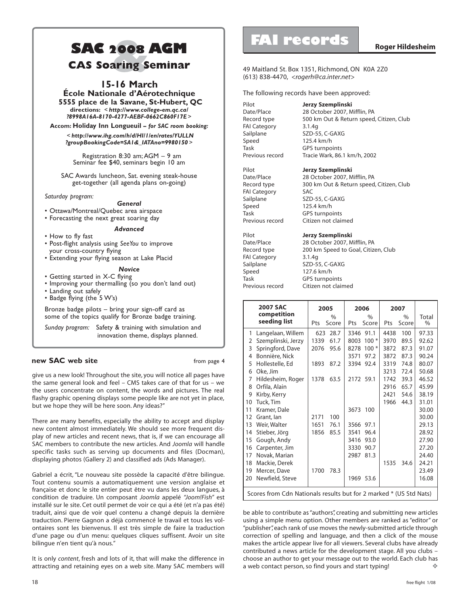## **SAC <sup>2008</sup>&AGM CAS Soaring Seminar**

#### **15-16 March**

**École Nationale d'Aérotechnique 5555 place de la Savane, St-Hubert, QC directions:** < *http://www.college-em.qc.ca/ ?8998A16A-8170-4277-AEBF-0662C860F17E* >

**Accom: Holiday Inn Longueuil** *– for SAC room booking:*

< *http://www.ihg.com/h/d/HI/1/en/rates/YULLN ?groupBookingCode=SA1&\_IATAno=9980150* >

 Registration 8:30 am; AGM – 9 am Seminar fee \$40, seminars begin 10 am

SAC Awards luncheon, Sat. evening steak-house get-together (all agenda plans on-going)

*Saturday program:*

#### *General*

- Ottawa/Montreal/Quebec area airspace
- Forecasting the next great soaring day

#### *Advanced*

- How to fly fast
- Post-flight analysis using *SeeYou* to improve your cross-country flying
- Extending your flying season at Lake Placid

#### *Novice*

- Getting started in X-C flying
- Improving your thermalling (so you don't land out)
- Landing out safely

• Badge flying (the 5 W's)

Bronze badge pilots – bring your sign-off card as some of the topics qualify for Bronze badge training.

*Sunday program:* Safety & training with simulation and innovation theme, displays planned.

#### **new SAC web site** from page 4

give us a new look! Throughout the site, you will notice all pages have the same general look and feel – CMS takes care of that for us – we the users concentrate on content, the words and pictures. The real flashy graphic opening displays some people like are not yet in place, but we hope they will be here soon. Any ideas?"

There are many benefits, especially the ability to accept and display new content almost immediately. We should see more frequent display of new articles and recent news, that is, if we can encourage all SAC members to contribute the new articles. And *Joomla* will handle specific tasks such as serving up documents and files (Docman), displaying photos (Gallery 2) and classified ads (Ads Manager).

Gabriel a écrit, "Le nouveau site possède la capacité d'être bilingue. Tout contenu soumis a automatiquement une version anglaise et française et donc le site entier peut être vu dans les deux langues, à condition de traduire. Un composant *Joomla* appelé *"Joom!Fish"* est installé sur le site. Cet outil permet de voir ce qui a été (et n'a pas été) traduit, ainsi que de voir quel contenu a changé depuis la dernière traduction. Pierre Gagnon a déjà commencé le travail et tous les volontaires sont les bienvenus. Il est très simple de faire la traduction d'une page ou d'un menu: quelques cliques suffisent. Avoir un site bilingue n'en tient qu'à nous."

It is only *content*, fresh and lots of it, that will make the difference in attracting and retaining eyes on a web site. Many SAC members will

## **FAI records**

49 Maitland St. Box 1351, Richmond, ON K0A 2Z0 (613) 838-4470, *<rogerh@ca.inter.net>*

The following records have been approved:

Pilot **Jerzy Szemplinski** Date/Place 28 October 2007, Mifflin, PA Record type 500 km Out & Return speed, Citizen, Club FAI Category 3.1.4g Speed 125.4 km/h<br>Task GPS turnpo

Sailplane SZD-55, C-GAXG **GPS turnpoints** Previous record Tracie Wark, 86.1 km/h, 2002 Pilot **Jerzy Szemplinski**

Date/Place 28 October 2007, Mifflin, PA Record type 300 km Out & Return speed, Citizen, Club FAI Category SAC Sailplane SZD-55, C-GAXG<br>Speed 125.4 km/h Speed 125.4 km/h<br>Task GPS turnpo

**GPS turnpoints** Previous record Citizen not claimed Pilot **Jerzy Szemplinski**

Date/Place 28 October 2007, Mifflin, PA<br>Record type 200 km Speed to Goal, Citize 200 km Speed to Goal, Citizen, Club FAI Category 3.1.4g Sailplane SZD-55, C-GAXG Speed 127.6 km/h<br>Task GPS turnpoi **GPS turnpoints** Previous record Citizen not claimed

|                                                                    | <b>2007 SAC</b><br>2005 |      |       | 2006      |               | 2007 |               |       |  |
|--------------------------------------------------------------------|-------------------------|------|-------|-----------|---------------|------|---------------|-------|--|
|                                                                    | competition             |      | $\%$  |           | $\frac{0}{0}$ |      | $\frac{0}{0}$ | Total |  |
|                                                                    | seeding list            | Pts  | Score | Pts       | Score         | Pts  | Score         | $\%$  |  |
| 1                                                                  | Langelaan, Willem       | 623  | 28.7  | 3346 91.1 |               | 4438 | 100           | 97.33 |  |
| 2                                                                  | Szemplinski, Jerzy      | 1339 | 61.7  | 8003      | $100*$        | 3970 | 89.5          | 92.62 |  |
| 3                                                                  | Springford, Dave        | 2076 | 95.6  | 8278      | $100*$        | 3872 | 87.3          | 91.07 |  |
| 4                                                                  | Bonnière, Nick          |      |       | 3571      | 97.2          | 3872 | 87.3          | 90.24 |  |
| 5                                                                  | Hollestelle, Ed         | 1893 | 87.2  | 3394      | 92.4          | 3319 | 74.8          | 80.07 |  |
| 6                                                                  | Oke, Jim                |      |       |           |               | 3213 | 72.4          | 50.68 |  |
| 7                                                                  | Hildesheim, Roger       | 1378 | 63.5  | 2172 59.1 |               | 1742 | 39.3          | 46.52 |  |
| 8                                                                  | Orfila, Alain           |      |       |           |               | 2916 | 65.7          | 45.99 |  |
| 9                                                                  | Kirby, Kerry            |      |       |           |               | 2421 | 54.6          | 38.19 |  |
| 10                                                                 | Tuck, Tim               |      |       |           |               | 1966 | 44.3          | 31.01 |  |
| 11                                                                 | Kramer, Dale            |      |       | 3673      | 100           |      |               | 30.00 |  |
| 12                                                                 | Grant, lan              | 2171 | 100   |           |               |      |               | 30.00 |  |
| 13                                                                 | Weir, Walter            | 1651 | 76.1  | 3566      | 97.1          |      |               | 29.13 |  |
| 14                                                                 | Stieber, Jörg           | 1856 | 85.5  | 3541      | 96.4          |      |               | 28.92 |  |
| 15                                                                 | Gough, Andy             |      |       | 3416      | 93.0          |      |               | 27.90 |  |
| 16                                                                 | Carpenter, Jim          |      |       | 3330      | 90.7          |      |               | 27.20 |  |
| 17                                                                 | Novak, Marian           |      |       | 2987      | 81.3          |      |               | 24.40 |  |
| 18                                                                 | Mackie, Derek           |      |       |           |               | 1535 | 34.6          | 24.21 |  |
| 19                                                                 | Mercer, Dave            | 1700 | 78.3  |           |               |      |               | 23.49 |  |
| 20                                                                 | Newfield, Steve         |      |       |           | 1969 53.6     |      |               | 16.08 |  |
| Scores from Cdn Nationals results but for 2 marked * (US Std Nats) |                         |      |       |           |               |      |               |       |  |

d. be able to contribute as "authors", creating and submitting new articles using a simple menu option. Other members are ranked as "editor" or "publisher", each rank of use moves the newly-submitted article through correction of spelling and language, and then a click of the mouse makes the article appear live for all viewers. Several clubs have already contributed a news article for the development stage. All you clubs – choose an author to get your message out to the world. Each club has a web contact person, so find yours and start typing!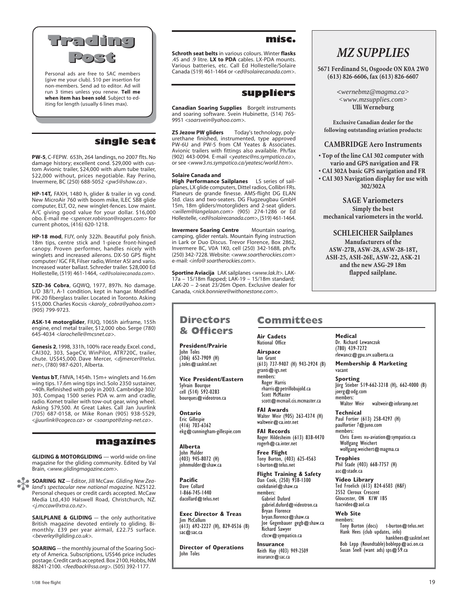

Personal ads are free to SAC members (give me your club). \$10 per insertion for non-members. Send ad to editor. Ad will run 3 times unless you renew. **Tell me when item has been sold**. Subject to editing for length (usually 6 lines max).

#### **single seat**

**PW-5**, C-FEPW. 653h, 264 landings, no 2007 flts. No damage history; excellent cond. \$29,000 with custom Avionic trailer, \$24,000 with alum tube trailer, \$22,000 without, prices negotiable. Ray Perino, Invermere, BC (250) 688-5052 *<pw5@shaw.ca>*.

**HP-14T,** FAXH, 1480 h, glider & trailer in vg cond. New MicroAir 760 with boom mike, ILEC SB8 glide computer, ELT, O2, new winglet-fences. Low maint. A/C giving good value for your dollar. \$16,000 obo. E-mail me *<spencer.robinson@rogers.com>* for current photos, (416) 620-1218.

**HP-18 mod**, FIJY, only 322h. Beautiful poly finish. 18m tips, centre stick and 1-piece front-hinged canopy. Proven performer, handles nicely with winglets and increased ailerons. DX-50 GPS flight computer/ IGC FR, Filser radio, Winter ASI and vario. Increased water ballast. Schreder trailer. \$28,000 Ed Hollestelle, (519) 461-1464, *<ed@solairecanada.com>.*

**SZD-36 Cobra**, GQWQ, 1977, 897h. No damage. L/D 38/1, A-1 condition, kept in hangar. Modified PIK-20 fiberglass trailer. Located in Toronto. Asking \$15,000. Charles Kocsis *<karoly\_cobra@yahoo.com>* (905) 799-9723.

**ASK-14 motorglider**, FIUQ, 1065h airframe, 155h engine, encl metal trailer, \$12,000 obo. Serge (780) 645-4034 *<larochelle@mcsnet.ca>*.

**Genesis 2**, 1998, 331h, 100% race ready. Excel. cond., CAI302, 303, SageCV, WinPilot, ATR720C, trailer, chute. US\$45,000. Dave Mercer, *<djmercer@telus. net>*, (780) 987-6201, Alberta.

**Ventus bT**, FMVA, 1454h. 15m+ winglets and 16.6m wing tips. 17.6m wing tips incl. Solo 2350 sustainer, ~40h. Refinished with poly in 2003. Cambridge 302/ 303, Compaq 1500 series PDA w. arm and cradle, radio. Komet trailer with tow-out gear, wing wheel. Asking \$79,500. At Great Lakes. Call Jan Juurlink (705) 687-0158, or Mike Ronan (905) 938-5529, *<jjuurlink@cogeco.ca>* or *<soarspot@zing-net.ca>*.

#### **magazines**

**GLIDING & MOTORGLIDING** — world-wide on-line magazine for the gliding community. Edited by Val Brain, *<www.glidingmagazine.com>.*

**SOARING NZ** — Editor, Jill McCaw. *Gliding New Zealand's spectacular new national magazine.* NZ\$122. *land's spectacular new national magazine*. NZ\$122. Personal cheques or credit cards accepted. McCaw Media Ltd.,430 Halswell Road, Christchurch, NZ. *<j.mccaw@xtra.co.nz>.*

> **SAILPLANE & GLIDING** - the only authoritative British magazine devoted entirely to gliding. Bimonthly. £39 per year airmail, £22.75 surface. *<beverley@gliding.co.uk>.*

> **SOARING** — the monthly journal of the Soaring Society of America. Subscriptions, US\$46 price includes postage. Credit cards accepted. Box 2100, Hobbs, NM 88241-2100. *<feedback@ssa.org>.* (505) 392-1177.

#### **misc.**

**Schroth seat belts** in various colours. Winter **flasks** .45 and .9 litre. **LX to PDA** cables. LX-PDA mounts. Various batteries, etc. Call Ed Hollestelle/Solaire Canada (519) 461-1464 or *<ed@solairecanada.com>*.

#### **suppliers**

**Canadian Soaring Supplies** Borgelt instruments and soaring software. Svein Hubinette, (514) 765- 9951 *<soarsvein@yahoo.com>.*

**ZS Jezow PW gliders** Today's technology, polyurethane finished, instrumented, type approved PW-6U and PW-5 from CM Yeates & Associates. Avionic trailers with fittings also available. Ph/fax (902) 443-0094. E-mail *<yeatesc@ns.sympatico.ca>,* or see *<www3.ns.sympatico.ca/yeatesc/world.htm>.*

#### **Solaire Canada and**

**President/Prairie**

**Vice President/Eastern**

ekg@cunningham-gillespie.com

**Exec Director & Treas**

(613) 692-2227 (H), 829-0536 (B)

**Director of Operations**

John Toles (306) 652-7909 (H) j.toles@sasktel.net

Sylvain Bourque cell (514) 592-0283 bourques@videotron.ca

**Ontario** Eric Gillespie (416) 703-6362

**Alberta** John Mulder (403) 945-8072 (H) johnmulder@shaw.ca

**Pacific** Dave Collard 1-866-745-1440 dacollard@telus.net

Jim McCollum

sac@sac.ca

John Toles

**High Performance Sailplanes** LS series of sailplanes, LX glide computers, Dittel radios, Collibri FRs. Planeurs de grande finesse. AMS-flight DG ELAN Std. class and two-seaters. DG Flugzeugbau GmbH 15m, 18m gliders/motorgliders and 2-seat gliders. *<willem@langelaan.com>* (905) 274-1286 or Ed Hollestelle, *<ed@solairecanada.com>*, (519) 461-1464.

**Invermere Soaring Centre** Mountain soaring, camping, glider rentals. Mountain flying instruction in Lark or Duo Discus. Trevor Florence, Box 2862, Invermere BC, V0A 1K0, cell (250) 342-1688, ph/fx (250) 342-7228*.* Website: *<www.soartherockies.com>* e-mail: *<info@ soartherockies.com>.*

**Sportine Aviacija** LAK sailplanes *<www.lak.lt>.* LAK-17a – 15/18m flapped; LAK-19 – 15/18m standard; LAK-20 – 2-seat 23/26m Open. Exclusive dealer for Canada, *<nick.bonniere@withonestone.com>.*

### *MZ SUPPLIES*

**5671 Ferdinand St, Osgoode ON K0A 2W0 (613) 826-6606, fax (613) 826-6607**

> **<***wernebmz@magma.ca> <www.mzsupplies.com>* **Ulli Werneburg**

**Exclusive Canadian dealer for the following outstanding aviation products:**

#### **CAMBRIDGE Aero Instruments**

**• Top of the line CAI 302 computer with vario and GPS navigation and FR**

**• CAI 302A basic GPS navigation and FR**

**• CAI 303 Navigation display for use with 302/302A**

**SAGE Variometers Simply the best mechanical variometers in the world.**

**SCHLEICHER Sailplanes Manufacturers of the ASW-27B, ASW-28, ASW-28-18T, ASH-25, ASH-26E, ASW-22, ASK-21 and the new ASG-29 18m**

**flapped sailplane.**

#### **Committees Directors & Officers**

**Air Cadets** National Office

**Airspace** Ian Grant (613) 737-9407 (H) 943-2924 (B) granti@igs.net members: Roger Harris rharris@petrillobujold.ca Scott McMaster

scott@mcmail.cis.mcmaster.ca **FAI Awards** Walter Weir (905) 263-4374 (H)

waltweir@ca.intr.net **FAI Records** Roger Hildesheim (613) 838-4470

rogerh@ca.inter.net **Free Flight**

Tony Burton, (403) 625-4563 t-burton@telus.net

**Flight Training & Safety** Dan Cook, (250) 938-1300 cookdaniel@shaw.ca members: Gabriel Duford gabriel.duford@videotron.ca Bryan Florence bryan.florence@shaw.ca Joe Gegenbauer gegb@shaw.ca Richard Sawyer cfzcw@sympatico.ca

**Insurance** Keith Hay (403) 949-2509 insurance@sac.ca

**Medical** Dr. Richard Lewanczuk (780) 439-7272 rlewancz@gpu.srv.ualberta.ca

**Membership & Marketing** vacant

**Sporting** Jörg Stieber 519-662-3218 (H), 662-4000 (B) joerg@odg.com

members:<br>Walter Weir waltweir@inforamp.net

**Technical** Paul Fortier (613) 258-4297 (H) paulfortier*1*@juno.com members: Chris Eaves xu-aviation@sympatico.ca Wolfgang Weichert wolfgang.weichert@magma.ca

**Trophies** Phil Stade (403) 668-7757 (H) asc@stade.ca

**Video Library** Ted Froelich (613) 824-6503 (H&F) 2552 Cleroux Crescent Gloucester, ON K1W 1B5 fsacvideo@aol.ca

**Web Site**

members: Tony Burton (docs) t-burton@telus.net Hank Hees (club updates, info) hankhees@sasktel.net Bob Lepp (Roundtable) boblepp@aci.on.ca Susan Snell (want ads) sps@59.ca